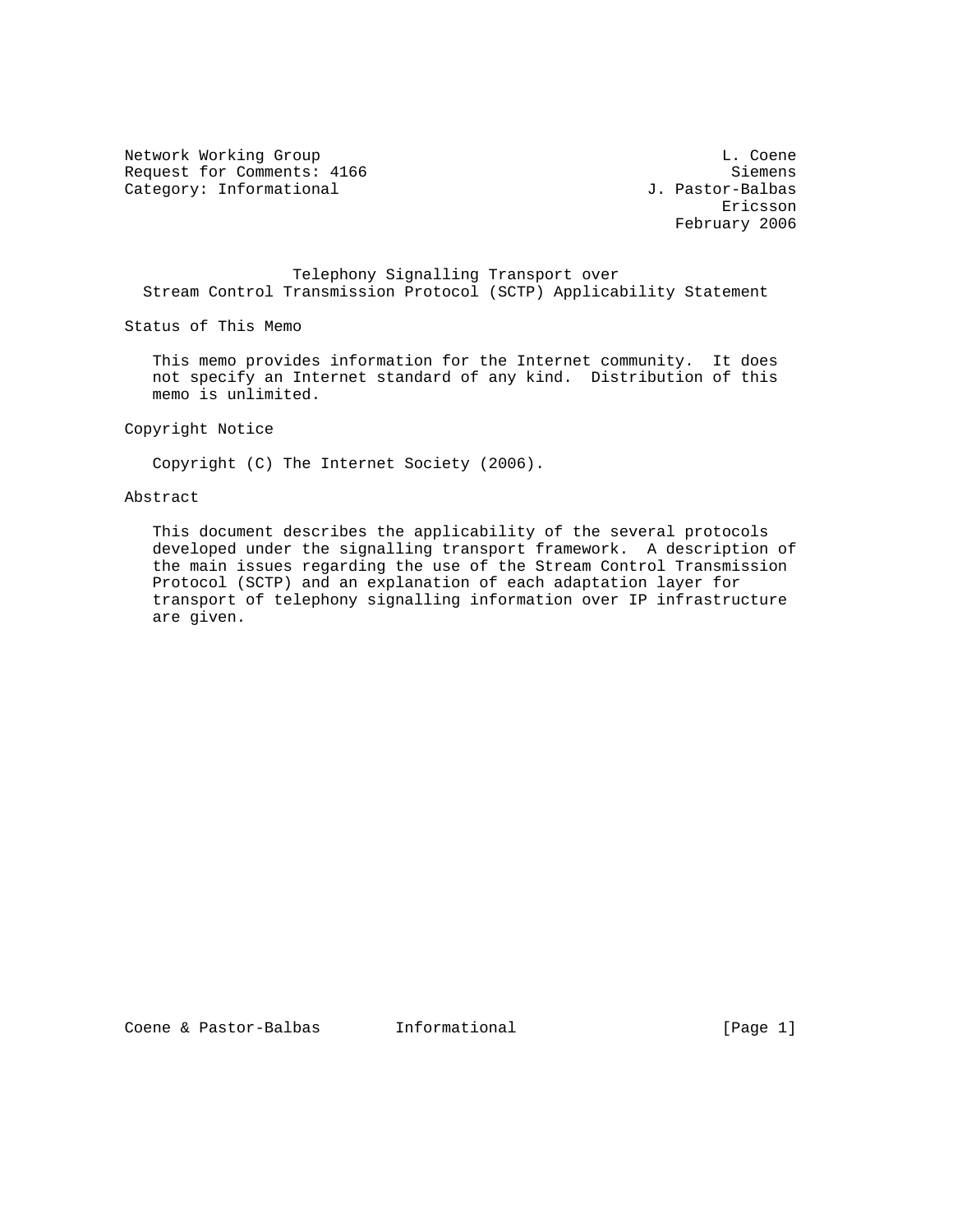Network Working Group and the coene of the coene of the coene of the coene of the coene of the coene of the coene Request for Comments: 4166 Siemens<br>
Category: Informational Stategory: Informational Stategory: Informational Stategory: Informational Stategory: Category: Informational

eric and the contract of the contract of the contract of the contract of the contract of the contract of the contract of the contract of the contract of the contract of the contract of the contract of the contract of the c February 2006

 Telephony Signalling Transport over Stream Control Transmission Protocol (SCTP) Applicability Statement

Status of This Memo

 This memo provides information for the Internet community. It does not specify an Internet standard of any kind. Distribution of this memo is unlimited.

Copyright Notice

Copyright (C) The Internet Society (2006).

## Abstract

 This document describes the applicability of the several protocols developed under the signalling transport framework. A description of the main issues regarding the use of the Stream Control Transmission Protocol (SCTP) and an explanation of each adaptation layer for transport of telephony signalling information over IP infrastructure are given.

Coene & Pastor-Balbas Informational (Page 1)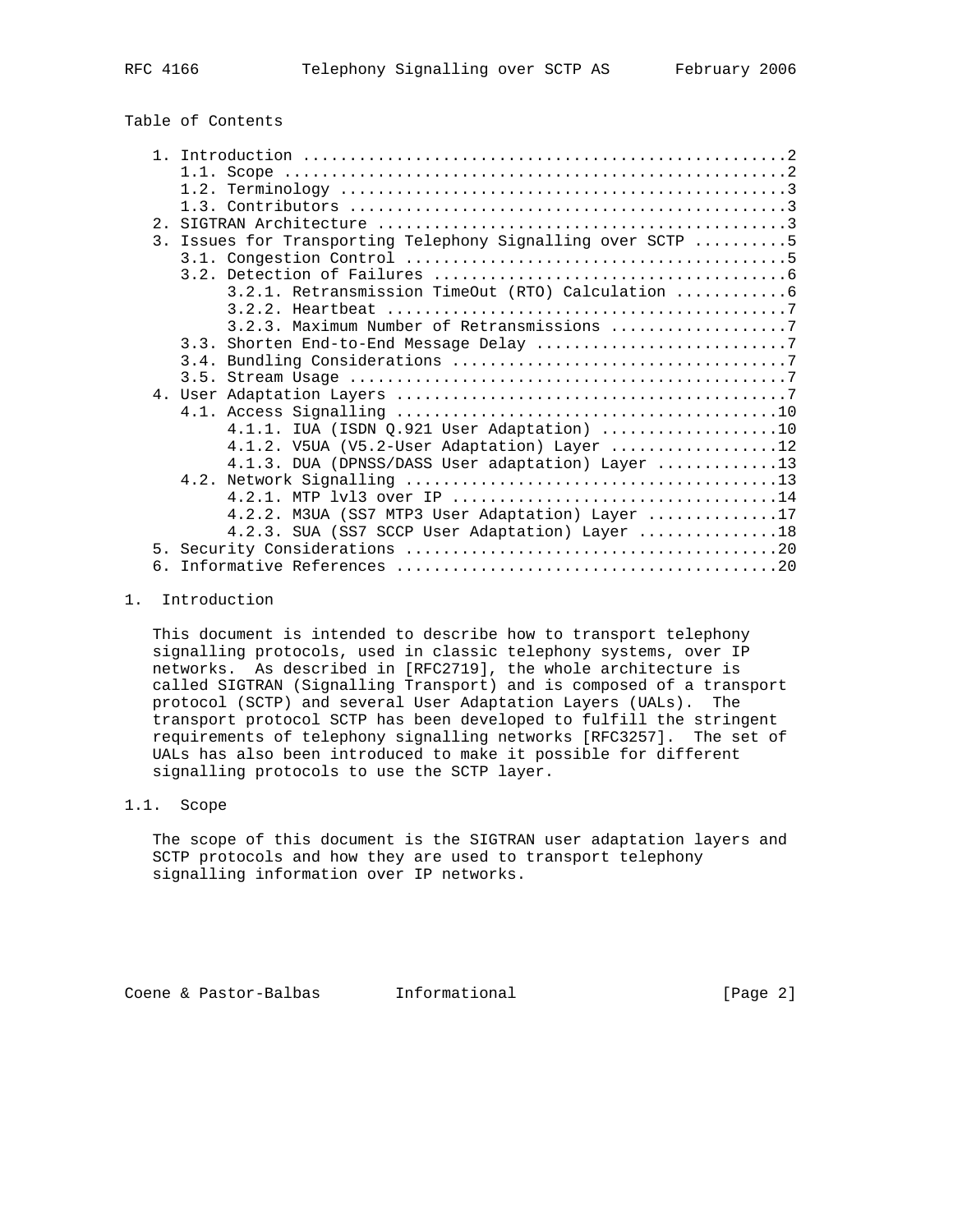# Table of Contents

|    | 3. Issues for Transporting Telephony Signalling over SCTP 5 |
|----|-------------------------------------------------------------|
|    |                                                             |
|    |                                                             |
|    | 3.2.1. Retransmission TimeOut (RTO) Calculation  6          |
|    |                                                             |
|    | 3.2.3. Maximum Number of Retransmissions 7                  |
|    |                                                             |
|    |                                                             |
|    |                                                             |
|    |                                                             |
|    |                                                             |
|    | $4.1.1.$ IUA (ISDN $Q.921$ User Adaptation) 10              |
|    | 4.1.2. V5UA (V5.2-User Adaptation) Layer 12                 |
|    | 4.1.3. DUA (DPNSS/DASS User adaptation) Layer 13            |
|    |                                                             |
|    |                                                             |
|    | 4.2.2. M3UA (SS7 MTP3 User Adaptation) Layer 17             |
|    | 4.2.3. SUA (SS7 SCCP User Adaptation) Layer 18              |
|    |                                                             |
| б. |                                                             |

## 1. Introduction

 This document is intended to describe how to transport telephony signalling protocols, used in classic telephony systems, over IP networks. As described in [RFC2719], the whole architecture is called SIGTRAN (Signalling Transport) and is composed of a transport protocol (SCTP) and several User Adaptation Layers (UALs). The transport protocol SCTP has been developed to fulfill the stringent requirements of telephony signalling networks [RFC3257]. The set of UALs has also been introduced to make it possible for different signalling protocols to use the SCTP layer.

### 1.1. Scope

 The scope of this document is the SIGTRAN user adaptation layers and SCTP protocols and how they are used to transport telephony signalling information over IP networks.

Coene & Pastor-Balbas Informational [Page 2]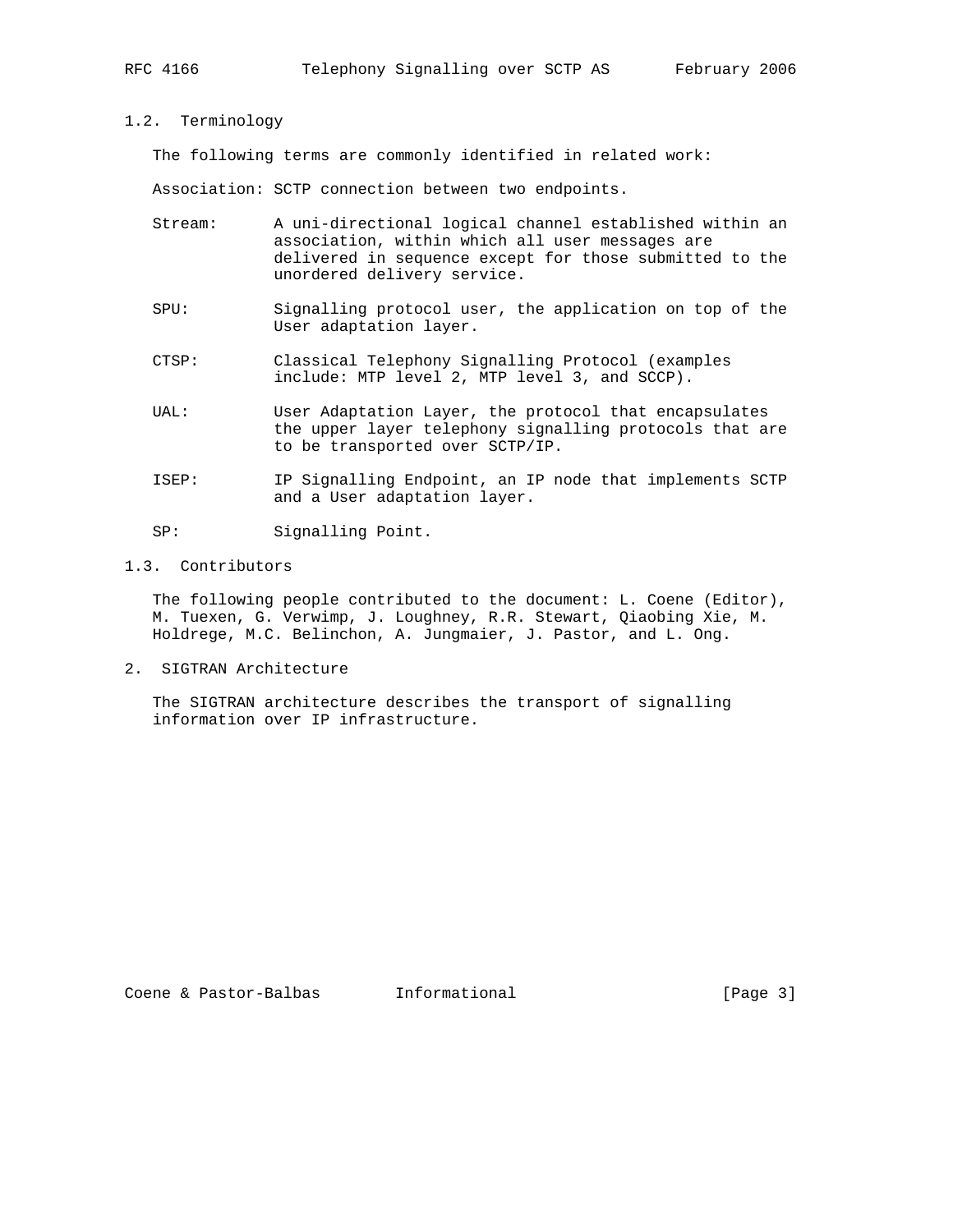#### 1.2. Terminology

The following terms are commonly identified in related work:

Association: SCTP connection between two endpoints.

- Stream: A uni-directional logical channel established within an association, within which all user messages are delivered in sequence except for those submitted to the unordered delivery service.
- SPU: Signalling protocol user, the application on top of the User adaptation layer.
- CTSP: Classical Telephony Signalling Protocol (examples include: MTP level 2, MTP level 3, and SCCP).
- UAL: User Adaptation Layer, the protocol that encapsulates the upper layer telephony signalling protocols that are to be transported over SCTP/IP.
- ISEP: IP Signalling Endpoint, an IP node that implements SCTP and a User adaptation layer.
- SP: Signalling Point.

### 1.3. Contributors

 The following people contributed to the document: L. Coene (Editor), M. Tuexen, G. Verwimp, J. Loughney, R.R. Stewart, Qiaobing Xie, M. Holdrege, M.C. Belinchon, A. Jungmaier, J. Pastor, and L. Ong.

2. SIGTRAN Architecture

 The SIGTRAN architecture describes the transport of signalling information over IP infrastructure.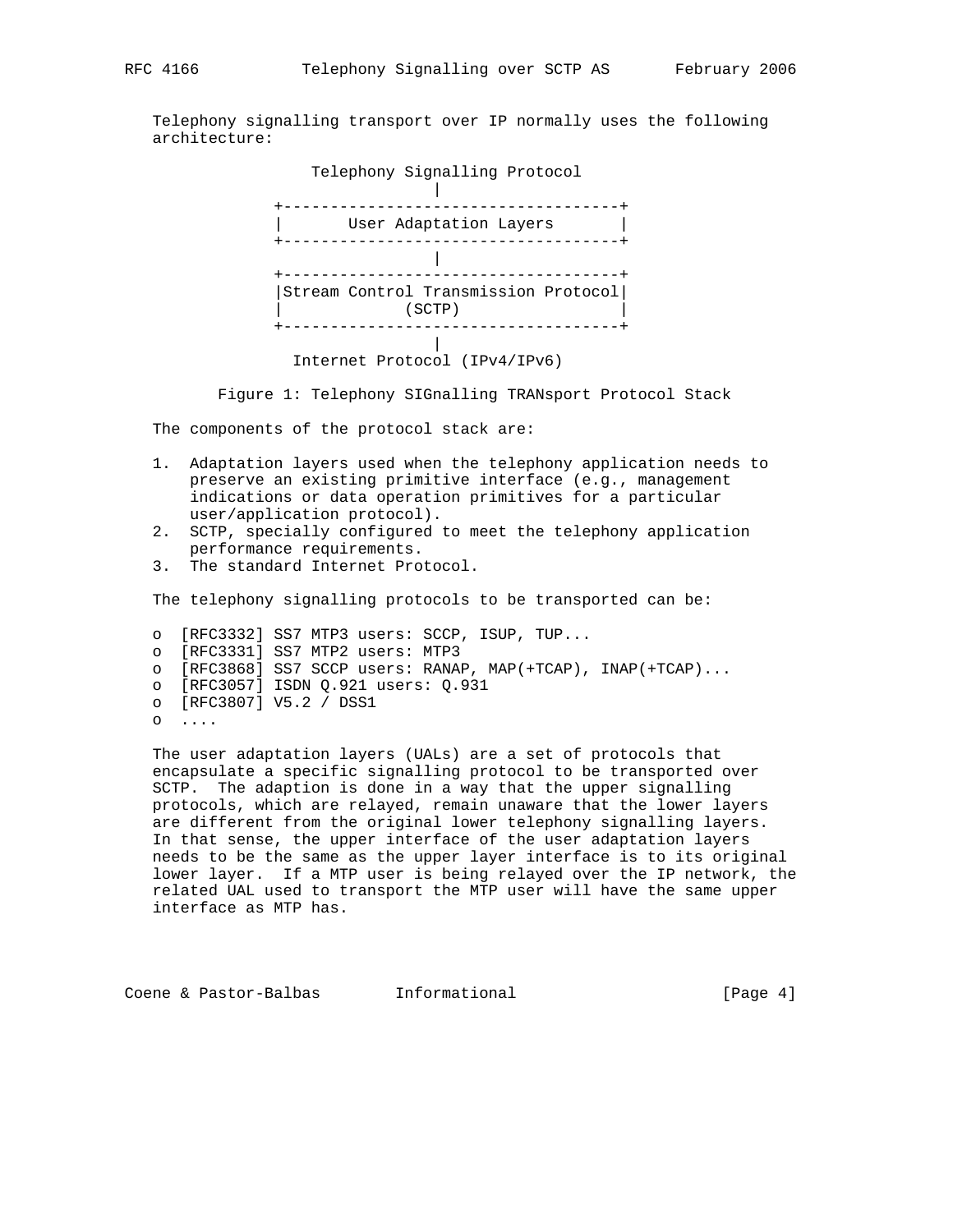Telephony signalling transport over IP normally uses the following architecture:



Figure 1: Telephony SIGnalling TRANsport Protocol Stack

The components of the protocol stack are:

- 1. Adaptation layers used when the telephony application needs to preserve an existing primitive interface (e.g., management indications or data operation primitives for a particular user/application protocol).
- 2. SCTP, specially configured to meet the telephony application performance requirements.
- 3. The standard Internet Protocol.

The telephony signalling protocols to be transported can be:

 o [RFC3332] SS7 MTP3 users: SCCP, ISUP, TUP... o [RFC3331] SS7 MTP2 users: MTP3 o [RFC3868] SS7 SCCP users: RANAP, MAP(+TCAP), INAP(+TCAP)... o [RFC3057] ISDN Q.921 users: Q.931 o [RFC3807] V5.2 / DSS1  $\circ \quad \dots$ 

 The user adaptation layers (UALs) are a set of protocols that encapsulate a specific signalling protocol to be transported over SCTP. The adaption is done in a way that the upper signalling protocols, which are relayed, remain unaware that the lower layers are different from the original lower telephony signalling layers. In that sense, the upper interface of the user adaptation layers needs to be the same as the upper layer interface is to its original lower layer. If a MTP user is being relayed over the IP network, the related UAL used to transport the MTP user will have the same upper interface as MTP has.

Coene & Pastor-Balbas Informational (Page 4)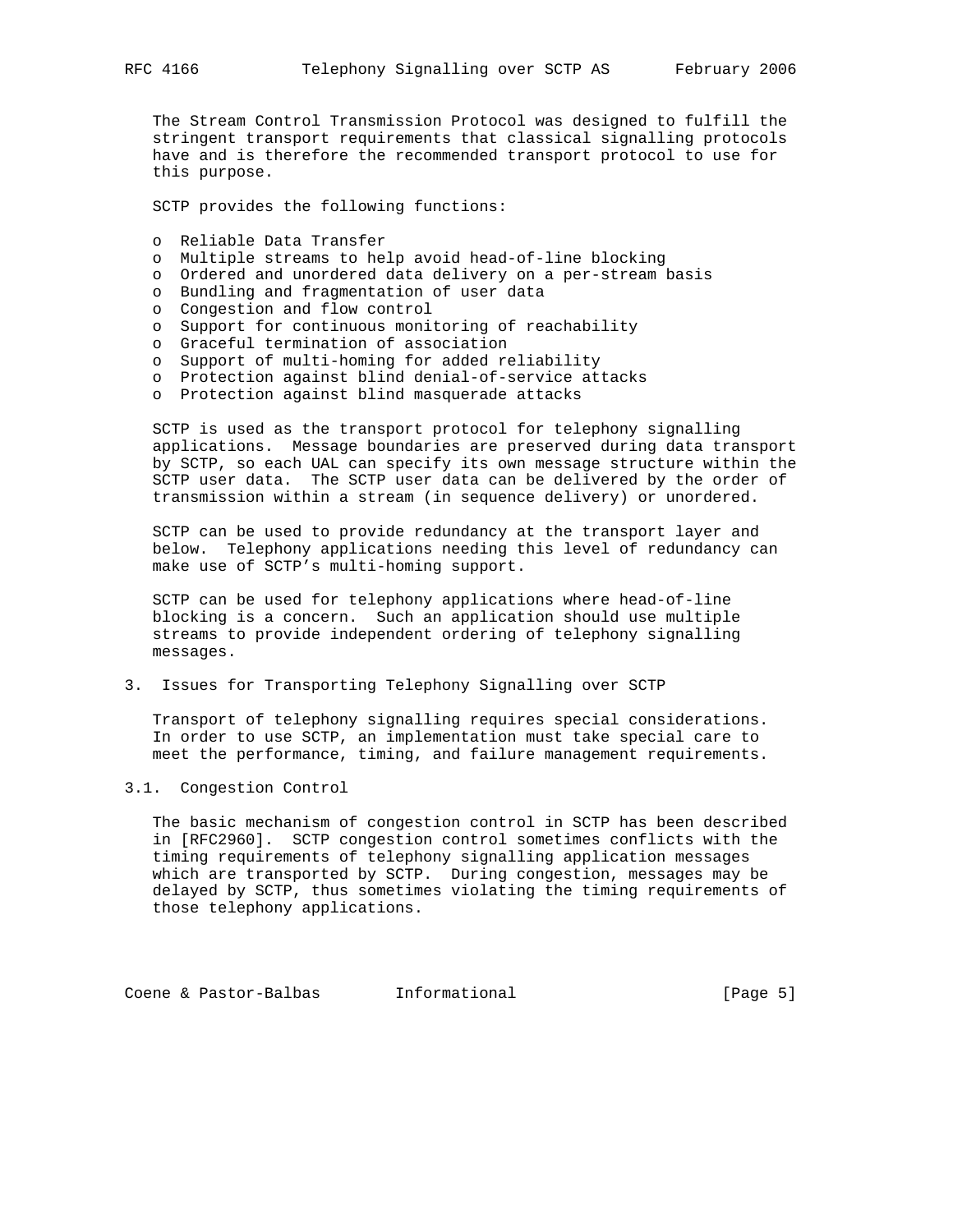The Stream Control Transmission Protocol was designed to fulfill the stringent transport requirements that classical signalling protocols have and is therefore the recommended transport protocol to use for this purpose.

SCTP provides the following functions:

- o Reliable Data Transfer
- o Multiple streams to help avoid head-of-line blocking
- o Ordered and unordered data delivery on a per-stream basis
- o Bundling and fragmentation of user data
- o Congestion and flow control
- o Support for continuous monitoring of reachability
- o Graceful termination of association
- o Support of multi-homing for added reliability
- o Protection against blind denial-of-service attacks
- o Protection against blind masquerade attacks

 SCTP is used as the transport protocol for telephony signalling applications. Message boundaries are preserved during data transport by SCTP, so each UAL can specify its own message structure within the SCTP user data. The SCTP user data can be delivered by the order of transmission within a stream (in sequence delivery) or unordered.

 SCTP can be used to provide redundancy at the transport layer and below. Telephony applications needing this level of redundancy can make use of SCTP's multi-homing support.

 SCTP can be used for telephony applications where head-of-line blocking is a concern. Such an application should use multiple streams to provide independent ordering of telephony signalling messages.

3. Issues for Transporting Telephony Signalling over SCTP

 Transport of telephony signalling requires special considerations. In order to use SCTP, an implementation must take special care to meet the performance, timing, and failure management requirements.

#### 3.1. Congestion Control

 The basic mechanism of congestion control in SCTP has been described in [RFC2960]. SCTP congestion control sometimes conflicts with the timing requirements of telephony signalling application messages which are transported by SCTP. During congestion, messages may be delayed by SCTP, thus sometimes violating the timing requirements of those telephony applications.

Coene & Pastor-Balbas Informational (Page 5)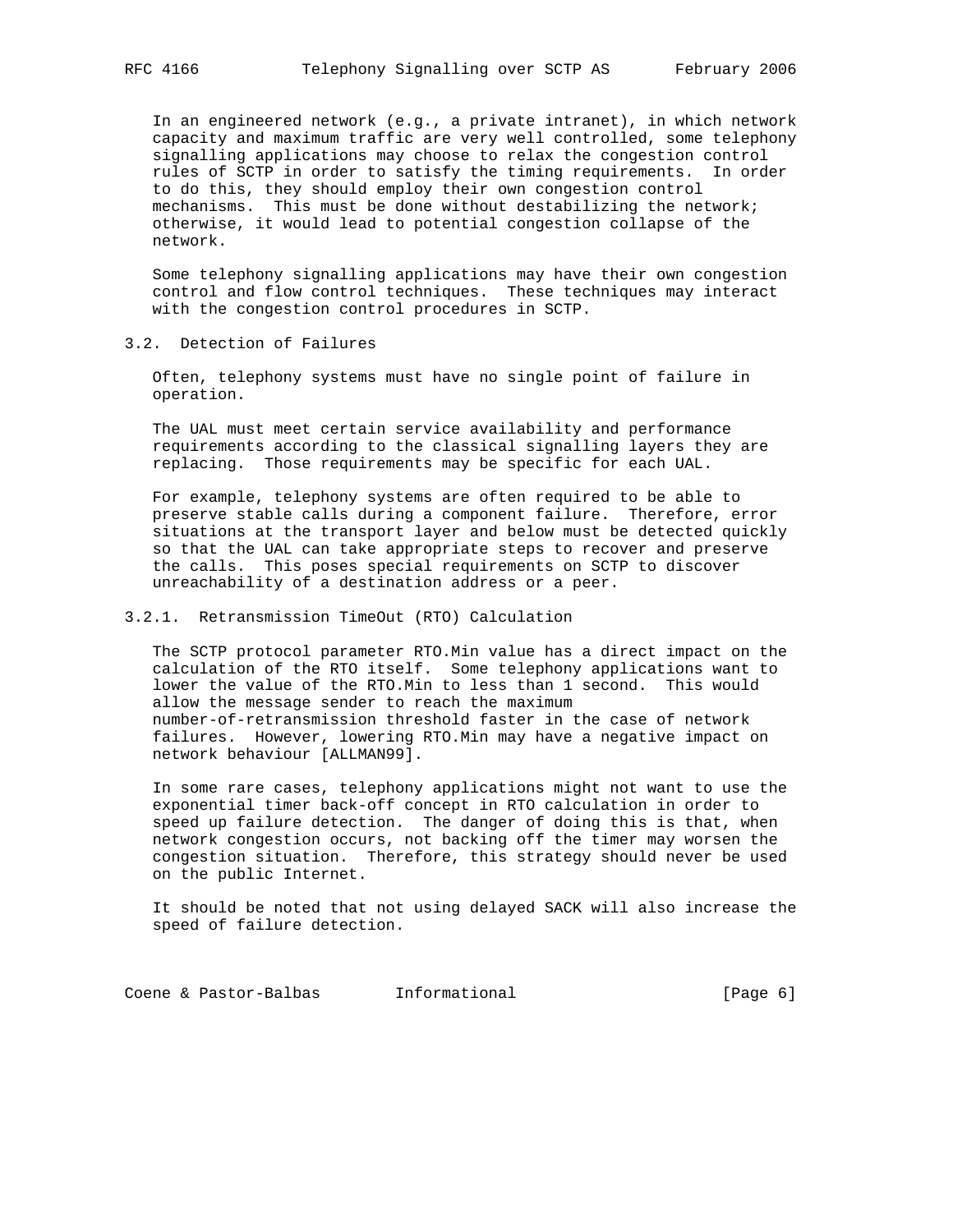In an engineered network (e.g., a private intranet), in which network capacity and maximum traffic are very well controlled, some telephony signalling applications may choose to relax the congestion control rules of SCTP in order to satisfy the timing requirements. In order to do this, they should employ their own congestion control mechanisms. This must be done without destabilizing the network; otherwise, it would lead to potential congestion collapse of the network.

 Some telephony signalling applications may have their own congestion control and flow control techniques. These techniques may interact with the congestion control procedures in SCTP.

3.2. Detection of Failures

 Often, telephony systems must have no single point of failure in operation.

 The UAL must meet certain service availability and performance requirements according to the classical signalling layers they are replacing. Those requirements may be specific for each UAL.

 For example, telephony systems are often required to be able to preserve stable calls during a component failure. Therefore, error situations at the transport layer and below must be detected quickly so that the UAL can take appropriate steps to recover and preserve the calls. This poses special requirements on SCTP to discover unreachability of a destination address or a peer.

#### 3.2.1. Retransmission TimeOut (RTO) Calculation

 The SCTP protocol parameter RTO.Min value has a direct impact on the calculation of the RTO itself. Some telephony applications want to lower the value of the RTO.Min to less than 1 second. This would allow the message sender to reach the maximum number-of-retransmission threshold faster in the case of network failures. However, lowering RTO.Min may have a negative impact on network behaviour [ALLMAN99].

 In some rare cases, telephony applications might not want to use the exponential timer back-off concept in RTO calculation in order to speed up failure detection. The danger of doing this is that, when network congestion occurs, not backing off the timer may worsen the congestion situation. Therefore, this strategy should never be used on the public Internet.

 It should be noted that not using delayed SACK will also increase the speed of failure detection.

Coene & Pastor-Balbas Informational (Page 6)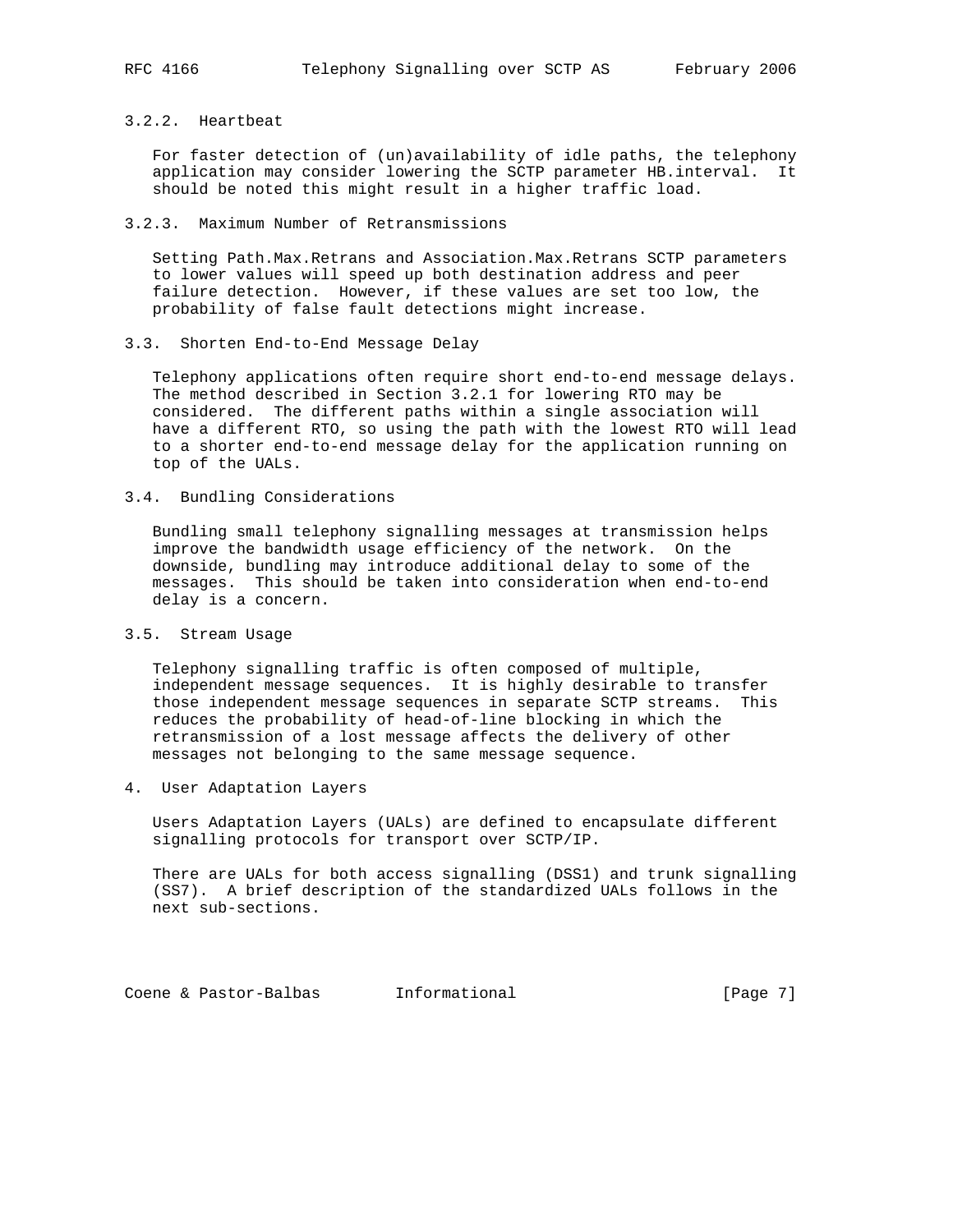### 3.2.2. Heartbeat

 For faster detection of (un)availability of idle paths, the telephony application may consider lowering the SCTP parameter HB.interval. It should be noted this might result in a higher traffic load.

#### 3.2.3. Maximum Number of Retransmissions

 Setting Path.Max.Retrans and Association.Max.Retrans SCTP parameters to lower values will speed up both destination address and peer failure detection. However, if these values are set too low, the probability of false fault detections might increase.

3.3. Shorten End-to-End Message Delay

 Telephony applications often require short end-to-end message delays. The method described in Section 3.2.1 for lowering RTO may be considered. The different paths within a single association will have a different RTO, so using the path with the lowest RTO will lead to a shorter end-to-end message delay for the application running on top of the UALs.

3.4. Bundling Considerations

 Bundling small telephony signalling messages at transmission helps improve the bandwidth usage efficiency of the network. On the downside, bundling may introduce additional delay to some of the messages. This should be taken into consideration when end-to-end delay is a concern.

3.5. Stream Usage

 Telephony signalling traffic is often composed of multiple, independent message sequences. It is highly desirable to transfer those independent message sequences in separate SCTP streams. This reduces the probability of head-of-line blocking in which the retransmission of a lost message affects the delivery of other messages not belonging to the same message sequence.

4. User Adaptation Layers

 Users Adaptation Layers (UALs) are defined to encapsulate different signalling protocols for transport over SCTP/IP.

 There are UALs for both access signalling (DSS1) and trunk signalling (SS7). A brief description of the standardized UALs follows in the next sub-sections.

Coene & Pastor-Balbas Informational (Page 7)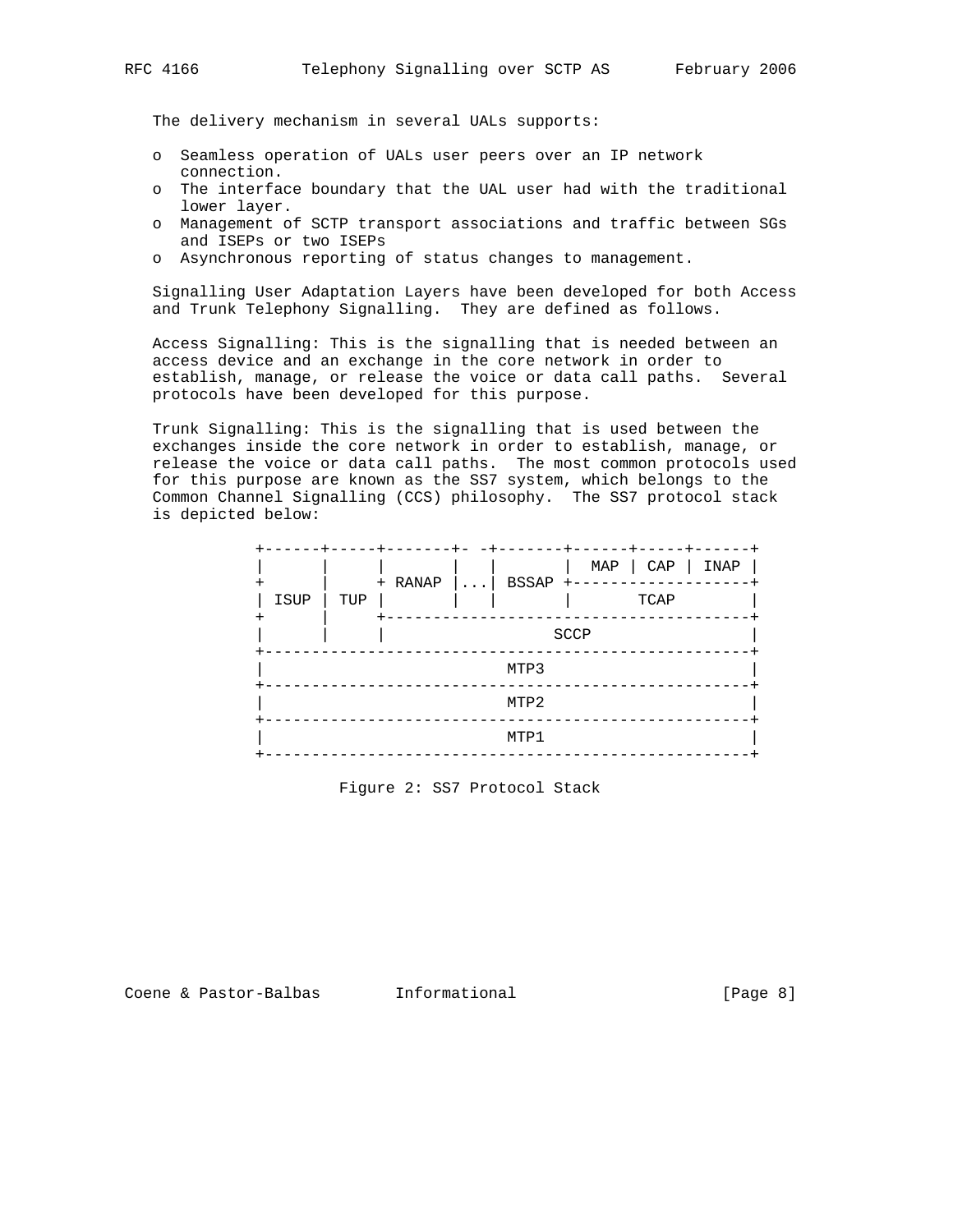The delivery mechanism in several UALs supports:

- o Seamless operation of UALs user peers over an IP network connection.
- o The interface boundary that the UAL user had with the traditional lower layer.
- o Management of SCTP transport associations and traffic between SGs and ISEPs or two ISEPs
- o Asynchronous reporting of status changes to management.

 Signalling User Adaptation Layers have been developed for both Access and Trunk Telephony Signalling. They are defined as follows.

 Access Signalling: This is the signalling that is needed between an access device and an exchange in the core network in order to establish, manage, or release the voice or data call paths. Several protocols have been developed for this purpose.

 Trunk Signalling: This is the signalling that is used between the exchanges inside the core network in order to establish, manage, or release the voice or data call paths. The most common protocols used for this purpose are known as the SS7 system, which belongs to the Common Channel Signalling (CCS) philosophy. The SS7 protocol stack is depicted below:

|      |     | $- - - -$ | $\ldots$ | BSSAP +- |      | MAP   CAP | INAP |  |
|------|-----|-----------|----------|----------|------|-----------|------|--|
| ISUP | TUP | + RANAP   |          |          | TCAP |           |      |  |
|      |     |           |          |          | SCCP |           |      |  |
|      |     |           |          | MTP3     |      |           |      |  |
|      |     |           |          | MTP2     |      |           |      |  |
|      |     |           |          | MTP1     |      |           |      |  |

Figure 2: SS7 Protocol Stack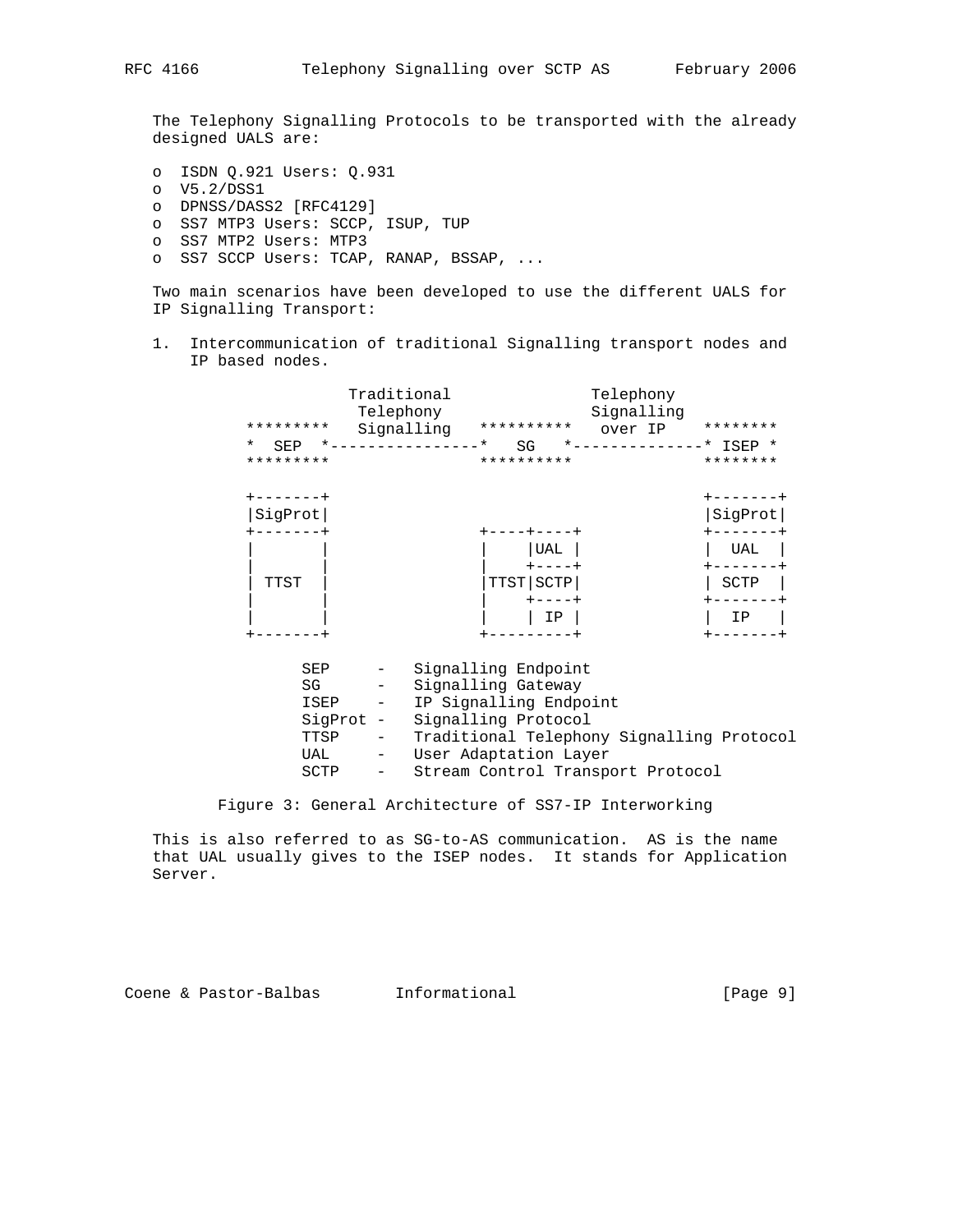The Telephony Signalling Protocols to be transported with the already designed UALS are:

- o ISDN Q.921 Users: Q.931 o V5.2/DSS1 o DPNSS/DASS2 [RFC4129] o SS7 MTP3 Users: SCCP, ISUP, TUP o SS7 MTP2 Users: MTP3
- o SS7 SCCP Users: TCAP, RANAP, BSSAP, ...

 Two main scenarios have been developed to use the different UALS for IP Signalling Transport:

 1. Intercommunication of traditional Signalling transport nodes and IP based nodes.

| *********<br>$\star$<br>SEP<br>********* | Traditional<br>Telephony<br>Signalling<br>$*$ $  -$ | **********<br>.∗<br>SG<br>**********                                | Telephony<br>Signalling<br>over IP<br>$*$ - - - - - - - | ********<br>$---*$ ISEP *<br>******** |
|------------------------------------------|-----------------------------------------------------|---------------------------------------------------------------------|---------------------------------------------------------|---------------------------------------|
| SigProt                                  |                                                     |                                                                     |                                                         | SigProt                               |
|                                          |                                                     | UAL                                                                 |                                                         | UAL                                   |
| TTST                                     |                                                     | TTST SCTP<br>$--- +$                                                |                                                         | SCTP                                  |
|                                          |                                                     | IP                                                                  |                                                         | IP                                    |
| SEP<br>SG                                | $\qquad \qquad -$<br>ISEP                           | Signalling Endpoint<br>Signalling Gateway<br>IP Signalling Endpoint |                                                         |                                       |

| TTSP | $ -$ | Traditional Telephony Signalling Protocol |  |  |
|------|------|-------------------------------------------|--|--|
| UAL  |      | User Adaptation Layer                     |  |  |

SCTP - Stream Control Transport Protocol

Figure 3: General Architecture of SS7-IP Interworking

SigProt - Signalling Protocol

 This is also referred to as SG-to-AS communication. AS is the name that UAL usually gives to the ISEP nodes. It stands for Application Server.

Coene & Pastor-Balbas Informational (Page 9)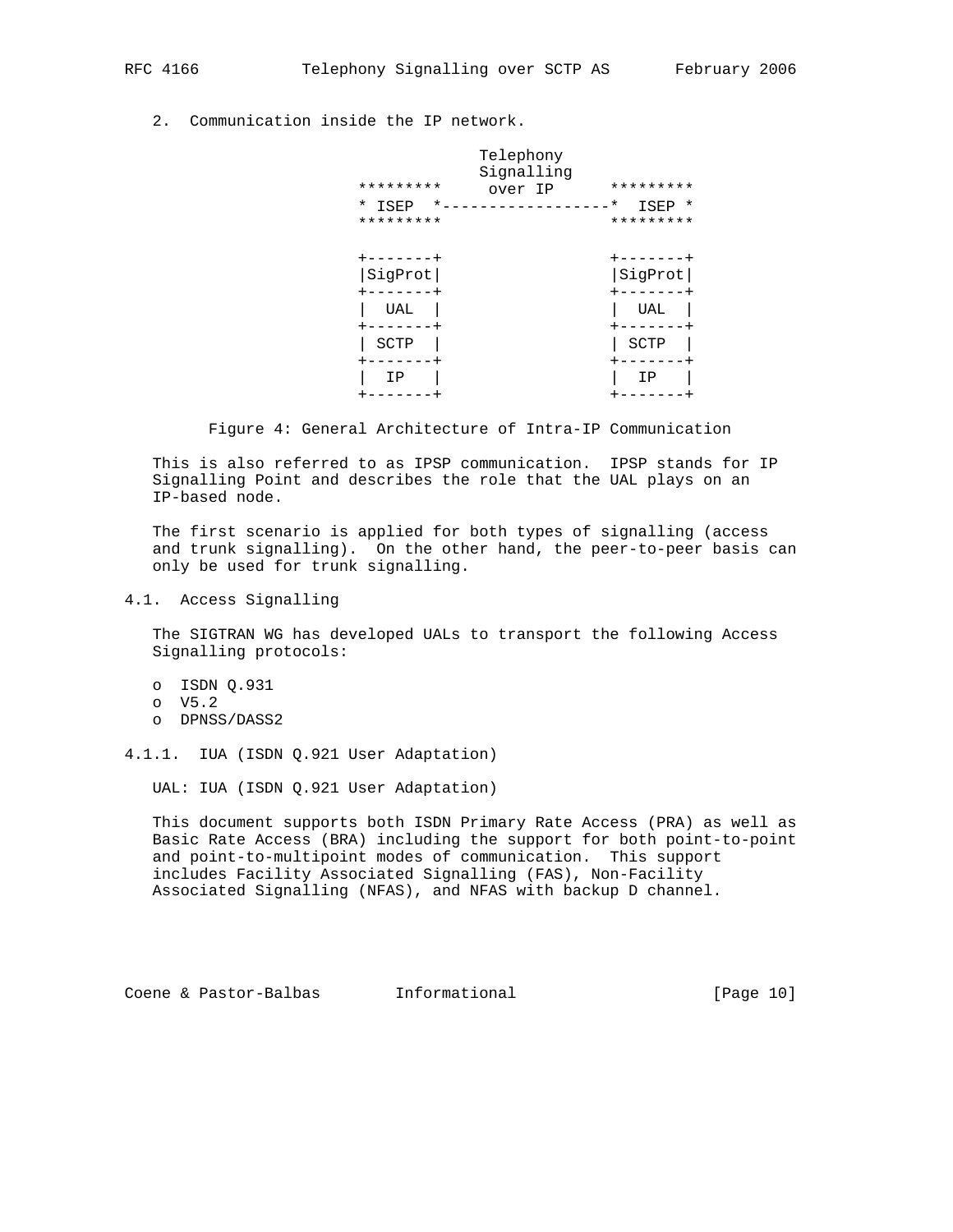2. Communication inside the IP network.

| *********<br>* ISEP<br>$^\star$<br>********* | Telephony<br>Signalling<br>over IP | *********<br>$^\star$<br>ISEP *<br>********* |
|----------------------------------------------|------------------------------------|----------------------------------------------|
| -----+<br>SigProt                            |                                    | - - - - -<br>SigProt                         |
| UAL                                          |                                    | UAL                                          |
| SCTP                                         |                                    | SCTP                                         |
| ΙP                                           |                                    | IP                                           |

Figure 4: General Architecture of Intra-IP Communication

 This is also referred to as IPSP communication. IPSP stands for IP Signalling Point and describes the role that the UAL plays on an IP-based node.

 The first scenario is applied for both types of signalling (access and trunk signalling). On the other hand, the peer-to-peer basis can only be used for trunk signalling.

4.1. Access Signalling

 The SIGTRAN WG has developed UALs to transport the following Access Signalling protocols:

 o ISDN Q.931 o V5.2 o DPNSS/DASS2

4.1.1. IUA (ISDN Q.921 User Adaptation)

UAL: IUA (ISDN Q.921 User Adaptation)

 This document supports both ISDN Primary Rate Access (PRA) as well as Basic Rate Access (BRA) including the support for both point-to-point and point-to-multipoint modes of communication. This support includes Facility Associated Signalling (FAS), Non-Facility Associated Signalling (NFAS), and NFAS with backup D channel.

Coene & Pastor-Balbas Informational [Page 10]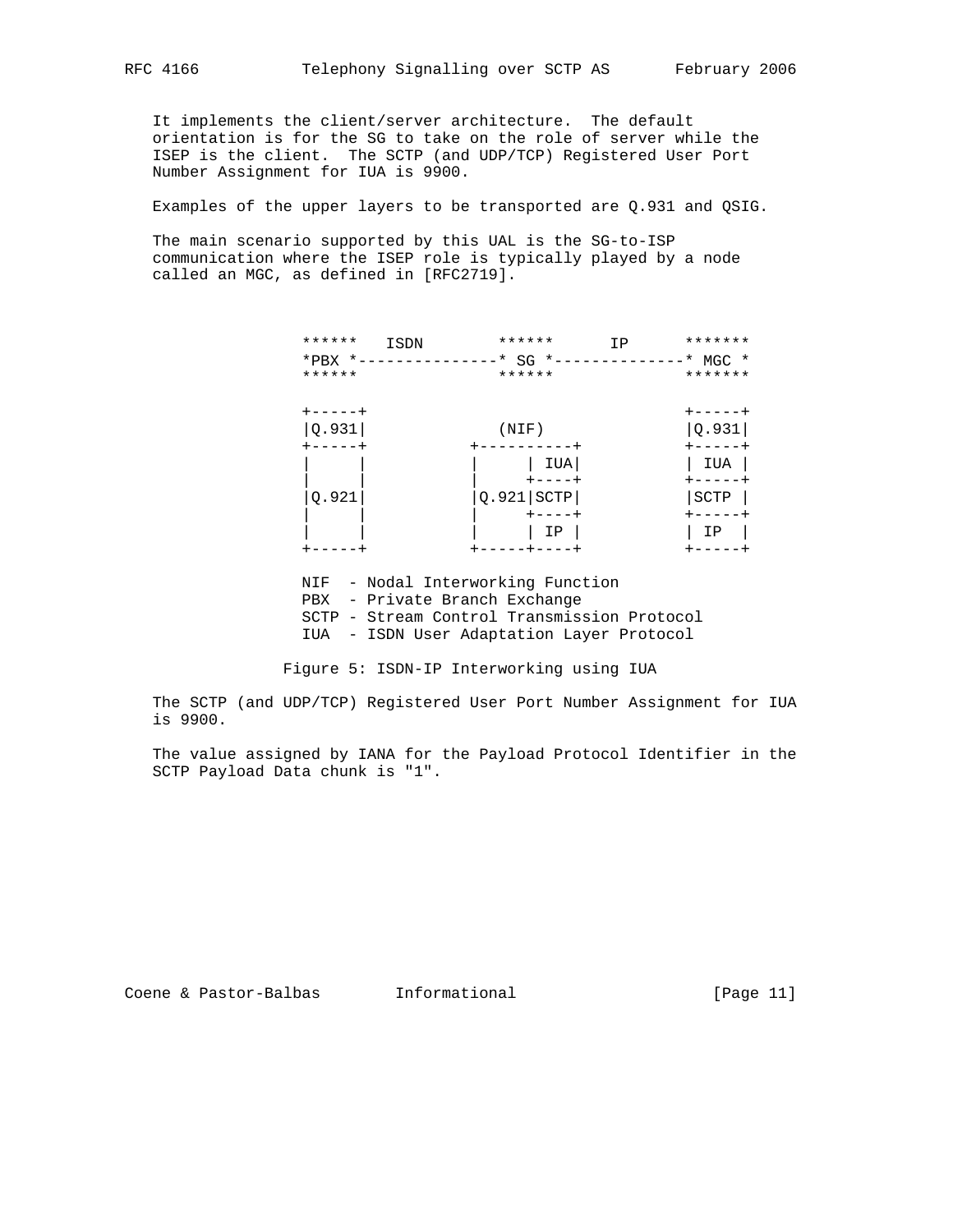It implements the client/server architecture. The default orientation is for the SG to take on the role of server while the ISEP is the client. The SCTP (and UDP/TCP) Registered User Port Number Assignment for IUA is 9900.

Examples of the upper layers to be transported are Q.931 and QSIG.

 The main scenario supported by this UAL is the SG-to-ISP communication where the ISEP role is typically played by a node called an MGC, as defined in [RFC2719].

| ******         | ISDN | ******        | *******<br>ΙP |
|----------------|------|---------------|---------------|
| $*$ PBX $*$ -- |      | $-*$ SG $*-$  | $-*$ MGC $*$  |
| ******         |      | ******        | *******       |
|                |      |               |               |
| $+ - - - - +$  |      |               | $+ - - - - +$ |
| Q.931          |      | (NIF)         | Q.931         |
|                |      |               |               |
|                |      | IUA           | IUA           |
|                |      |               |               |
| Q.921          |      | SCTP<br>Q.921 | SCTP          |
|                |      | $+ - - - - +$ |               |
|                |      | ΙP            | ΙP            |
|                |      | . + -         |               |

NIF - Nodal Interworking Function

- PBX Private Branch Exchange
- SCTP Stream Control Transmission Protocol
- IUA ISDN User Adaptation Layer Protocol

Figure 5: ISDN-IP Interworking using IUA

 The SCTP (and UDP/TCP) Registered User Port Number Assignment for IUA is 9900.

 The value assigned by IANA for the Payload Protocol Identifier in the SCTP Payload Data chunk is "1".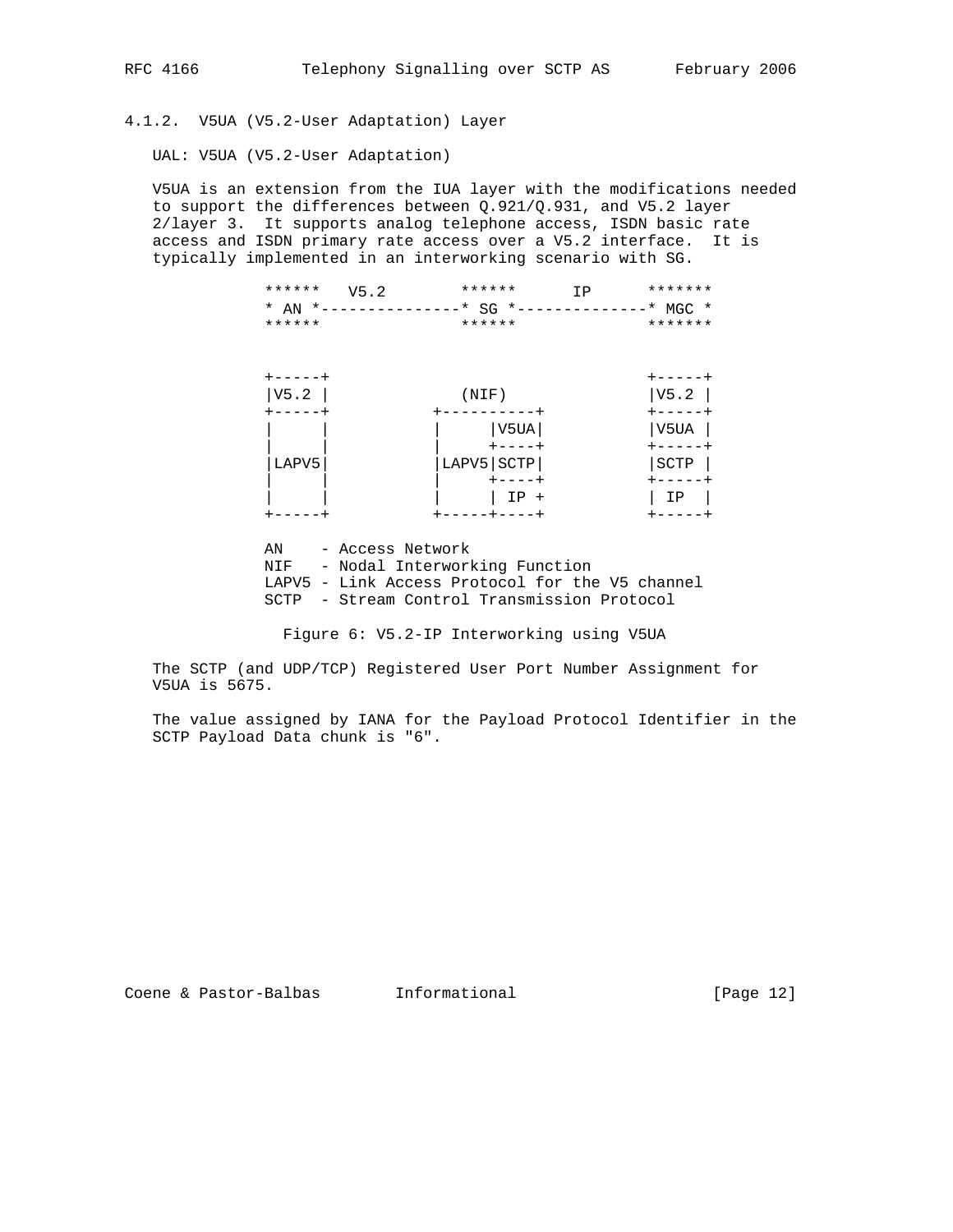4.1.2. V5UA (V5.2-User Adaptation) Layer

UAL: V5UA (V5.2-User Adaptation)

 V5UA is an extension from the IUA layer with the modifications needed to support the differences between Q.921/Q.931, and V5.2 layer 2/layer 3. It supports analog telephone access, ISDN basic rate access and ISDN primary rate access over a V5.2 interface. It is typically implemented in an interworking scenario with SG.

| ****** $V5.2$ | ****** | TD 1                                             | ******* |  |
|---------------|--------|--------------------------------------------------|---------|--|
|               |        | * AN *---------------* SG *--------------* MGC * |         |  |
| ******        | ****** |                                                  | ******* |  |

| V5.2  | (NIF)        | V5.2 |
|-------|--------------|------|
|       |              |      |
|       | V5UA         | V5UA |
|       |              |      |
| LAPV5 | LAPV5   SCTP | SCTP |
|       |              |      |
|       | $IP +$       | ΙP   |
|       |              |      |

 AN - Access Network NIF - Nodal Interworking Function LAPV5 - Link Access Protocol for the V5 channel SCTP - Stream Control Transmission Protocol

Figure 6: V5.2-IP Interworking using V5UA

 The SCTP (and UDP/TCP) Registered User Port Number Assignment for V5UA is 5675.

 The value assigned by IANA for the Payload Protocol Identifier in the SCTP Payload Data chunk is "6".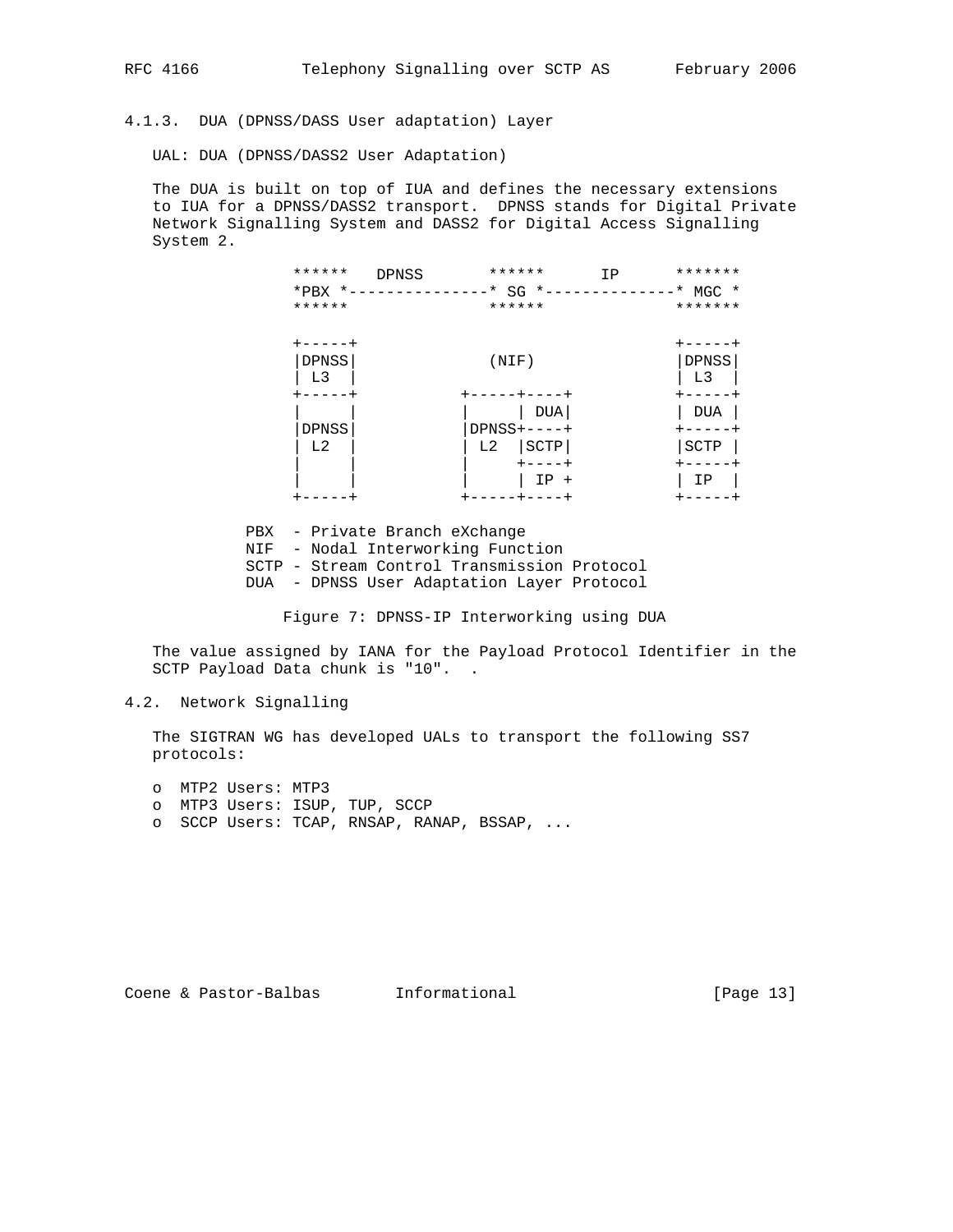4.1.3. DUA (DPNSS/DASS User adaptation) Layer

UAL: DUA (DPNSS/DASS2 User Adaptation)

 The DUA is built on top of IUA and defines the necessary extensions to IUA for a DPNSS/DASS2 transport. DPNSS stands for Digital Private Network Signalling System and DASS2 for Digital Access Signalling System 2.

| ******                  | ******<br><b>DPNSS</b><br>*PBX *---------------* SG *--------------* MGC * | *******<br>ΙP           |
|-------------------------|----------------------------------------------------------------------------|-------------------------|
| ******                  | ******                                                                     | *******                 |
| $+ - - - - +$           |                                                                            | +-----+                 |
| DPNSS<br>L <sub>3</sub> | (NIF)                                                                      | DPNSS<br>L <sub>3</sub> |
|                         | ------+----+                                                               |                         |
|                         | DUA                                                                        | <b>DUA</b>              |
| <b>DPNSS</b>            | $DPNSS+---+$                                                               |                         |
| L <sub>2</sub>          | L2<br>SCTP                                                                 | SCTP                    |
|                         | $+ - - - +$                                                                |                         |
|                         | $IP +$                                                                     | ΙP                      |
|                         | -----+----+                                                                |                         |

 PBX - Private Branch eXchange NIF - Nodal Interworking Function SCTP - Stream Control Transmission Protocol DUA - DPNSS User Adaptation Layer Protocol

Figure 7: DPNSS-IP Interworking using DUA

 The value assigned by IANA for the Payload Protocol Identifier in the SCTP Payload Data chunk is "10". .

# 4.2. Network Signalling

 The SIGTRAN WG has developed UALs to transport the following SS7 protocols:

 o MTP2 Users: MTP3 o MTP3 Users: ISUP, TUP, SCCP o SCCP Users: TCAP, RNSAP, RANAP, BSSAP, ...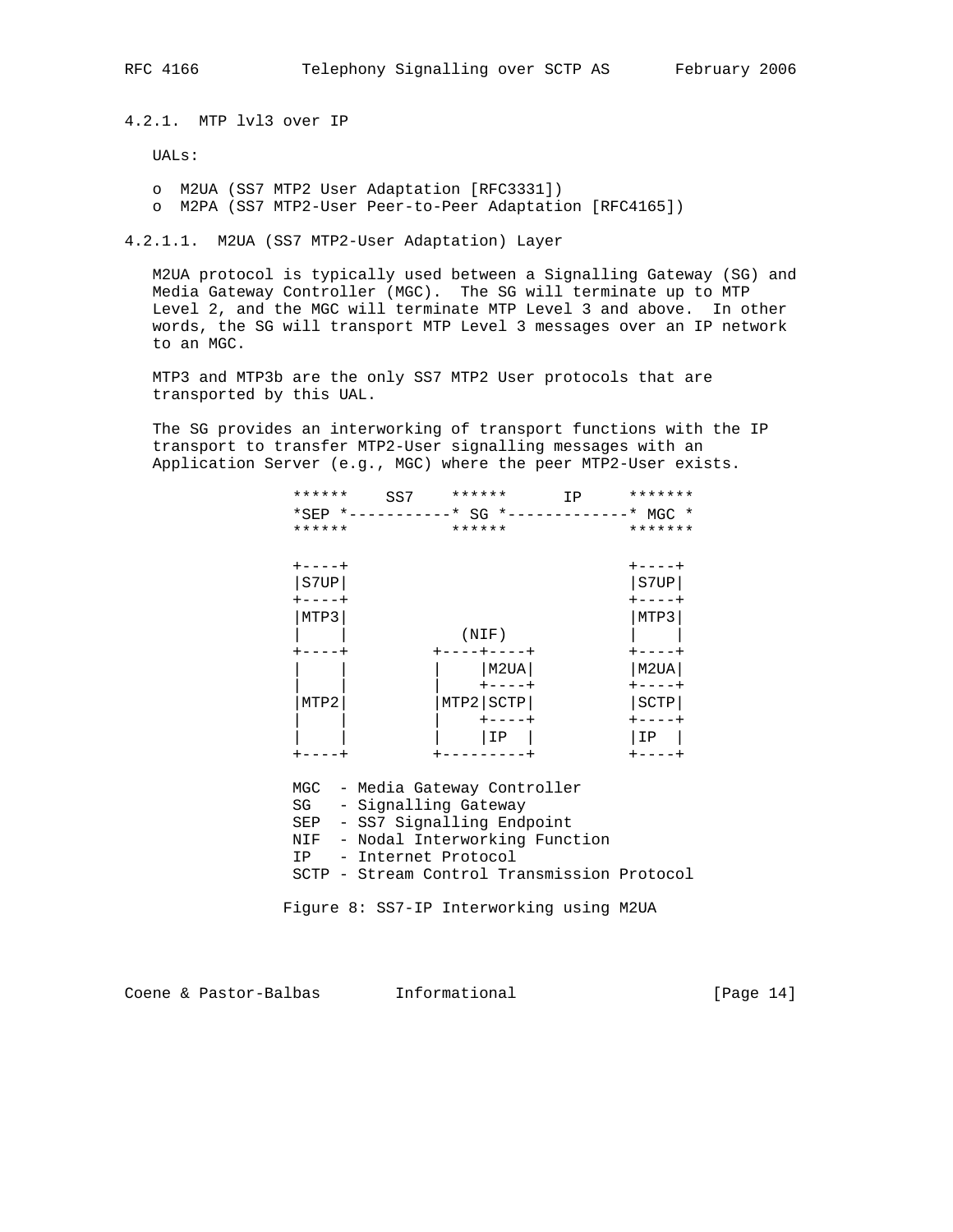4.2.1. MTP lvl3 over IP

UALs:

 o M2UA (SS7 MTP2 User Adaptation [RFC3331]) o M2PA (SS7 MTP2-User Peer-to-Peer Adaptation [RFC4165])

4.2.1.1. M2UA (SS7 MTP2-User Adaptation) Layer

 M2UA protocol is typically used between a Signalling Gateway (SG) and Media Gateway Controller (MGC). The SG will terminate up to MTP Level 2, and the MGC will terminate MTP Level 3 and above. In other words, the SG will transport MTP Level 3 messages over an IP network to an MGC.

 MTP3 and MTP3b are the only SS7 MTP2 User protocols that are transported by this UAL.

 The SG provides an interworking of transport functions with the IP transport to transfer MTP2-User signalling messages with an Application Server (e.g., MGC) where the peer MTP2-User exists.

| ******      | SS7 | ******                                      | IP | *******       |
|-------------|-----|---------------------------------------------|----|---------------|
|             |     | *SEP *-----------* SG *-------------* MGC * |    |               |
| ******      |     | ******                                      |    | *******       |
| $+ - - - +$ |     |                                             |    | $+ - - - - +$ |
| S7UP        |     |                                             |    | S7UP          |
| ----+       |     |                                             |    |               |
| MTP3        |     |                                             |    | MTP3          |
|             |     | (NIF)                                       |    |               |
|             |     |                                             |    |               |
|             |     | M2UA                                        |    | M2UA          |
|             |     | $+ - - - - +$                               |    |               |
| MTP2        |     | MTP2 SCTP                                   |    | SCTP          |
|             |     | $+ - - - - +$                               |    | $+ - - - - +$ |
|             |     | ΙP                                          |    | ΙP            |
|             |     |                                             |    |               |

MGC - Media Gateway Controller

- SG Signalling Gateway
- SEP SS7 Signalling Endpoint
- NIF Nodal Interworking Function
- IP Internet Protocol
- SCTP Stream Control Transmission Protocol

Figure 8: SS7-IP Interworking using M2UA

Coene & Pastor-Balbas Informational [Page 14]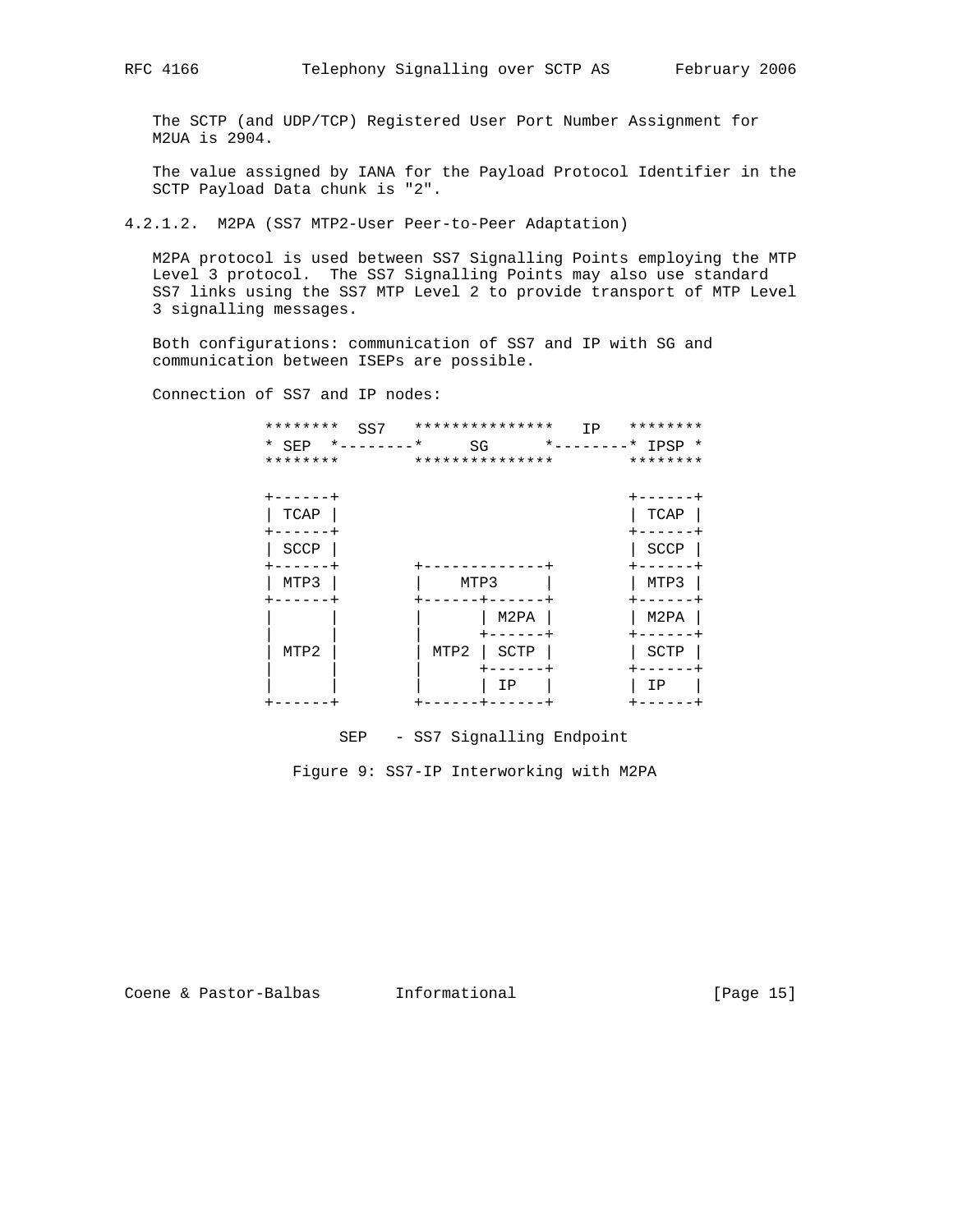The SCTP (and UDP/TCP) Registered User Port Number Assignment for M2UA is 2904.

 The value assigned by IANA for the Payload Protocol Identifier in the SCTP Payload Data chunk is "2".

4.2.1.2. M2PA (SS7 MTP2-User Peer-to-Peer Adaptation)

 M2PA protocol is used between SS7 Signalling Points employing the MTP Level 3 protocol. The SS7 Signalling Points may also use standard SS7 links using the SS7 MTP Level 2 to provide transport of MTP Level 3 signalling messages.

 Both configurations: communication of SS7 and IP with SG and communication between ISEPs are possible.

Connection of SS7 and IP nodes:

| ********<br>SS7<br>$*$ - - - - - - - $*$<br>* SEP<br>******** | ***************<br>IP<br>SG<br>*************** | ********<br>*--------* IPSP *<br>******** |
|---------------------------------------------------------------|------------------------------------------------|-------------------------------------------|
| $----++$<br>TCAP                                              |                                                | .<br>TCAP                                 |
| SCCP                                                          |                                                | <b>SCCP</b>                               |
| MTP3                                                          | MTP3                                           | MTP3                                      |
|                                                               | M2PA                                           | M <sub>2</sub> PA                         |
| MTP2                                                          | MTP2<br>SCTP                                   | SCTP                                      |
|                                                               | ΙP                                             | ΙP                                        |

SEP - SS7 Signalling Endpoint

Figure 9: SS7-IP Interworking with M2PA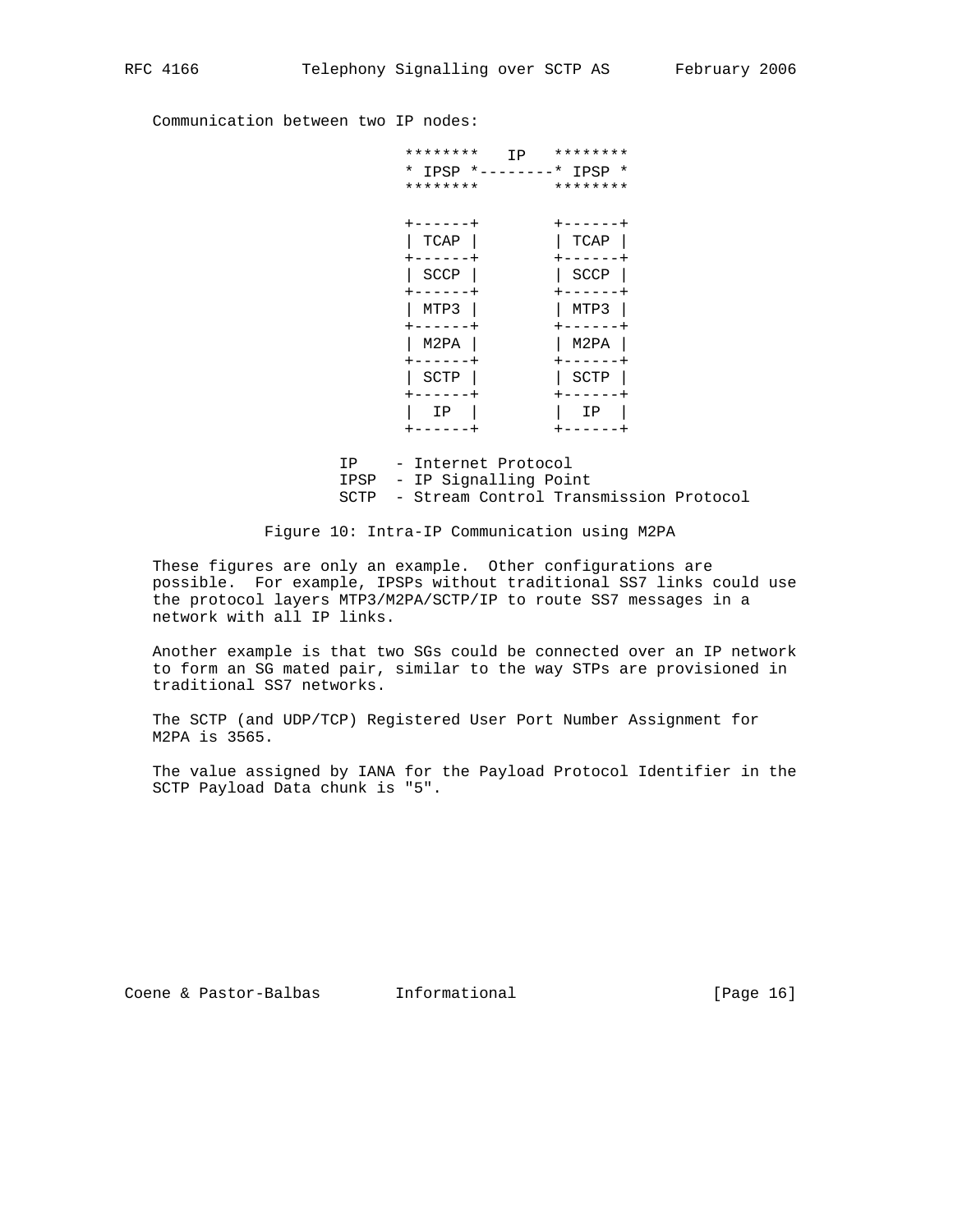Communication between two IP nodes:

| ********<br>IP<br>$*$ IPSP $*$<br>$- - - - - -$<br>******** | ********<br>$-*$ IPSP $*$<br>******** |
|-------------------------------------------------------------|---------------------------------------|
| -----<br>TCAP                                               | -----<br>TCAP                         |
| <b>SCCP</b><br>+<br>-----                                   | SCCP<br>-----                         |
| MTP3<br>- - - -                                             | MTP3                                  |
| M2PA                                                        | M2PA                                  |
| SCTP<br>$\,{}^+$                                            | SCTP                                  |
| ΙP<br>----<br>+                                             | ΙP                                    |

 IP - Internet Protocol IPSP - IP Signalling Point SCTP - Stream Control Transmission Protocol

Figure 10: Intra-IP Communication using M2PA

 These figures are only an example. Other configurations are possible. For example, IPSPs without traditional SS7 links could use the protocol layers MTP3/M2PA/SCTP/IP to route SS7 messages in a network with all IP links.

 Another example is that two SGs could be connected over an IP network to form an SG mated pair, similar to the way STPs are provisioned in traditional SS7 networks.

 The SCTP (and UDP/TCP) Registered User Port Number Assignment for M2PA is 3565.

 The value assigned by IANA for the Payload Protocol Identifier in the SCTP Payload Data chunk is "5".

Coene & Pastor-Balbas Informational [Page 16]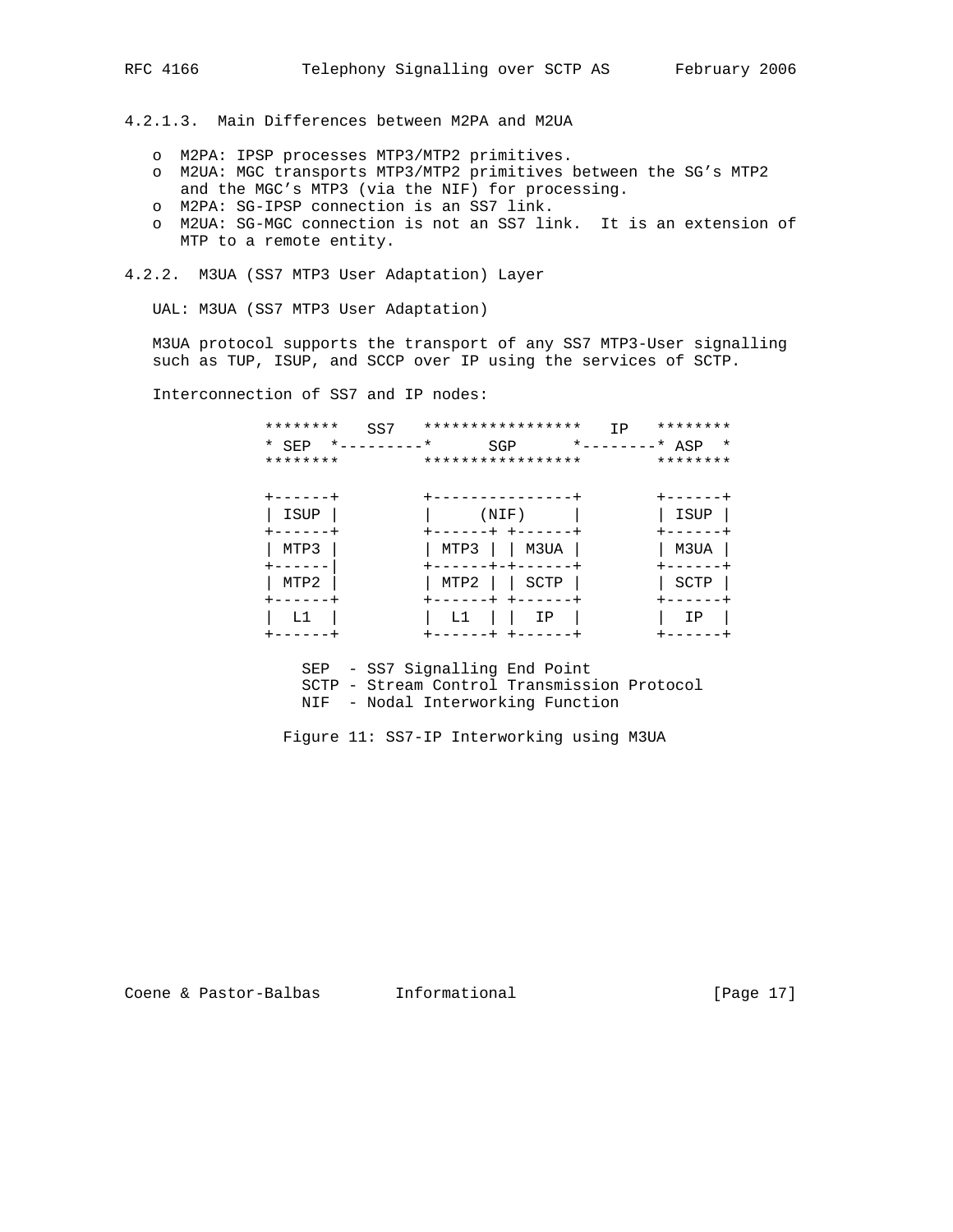4.2.1.3. Main Differences between M2PA and M2UA

- o M2PA: IPSP processes MTP3/MTP2 primitives.
- o M2UA: MGC transports MTP3/MTP2 primitives between the SG's MTP2 and the MGC's MTP3 (via the NIF) for processing.
- o M2PA: SG-IPSP connection is an SS7 link.
- o M2UA: SG-MGC connection is not an SS7 link. It is an extension of MTP to a remote entity.

4.2.2. M3UA (SS7 MTP3 User Adaptation) Layer

UAL: M3UA (SS7 MTP3 User Adaptation)

 M3UA protocol supports the transport of any SS7 MTP3-User signalling such as TUP, ISUP, and SCCP over IP using the services of SCTP.

Interconnection of SS7 and IP nodes:

| ********<br>$*$ SEP<br>******** | SS7<br>$*$ $-$<br>$^\star$<br>$- - - - - - - -$ | *****************<br>SGP<br>***************** |      | IP<br>*--------* $ASP$ | ********<br>$\star$<br>******** |
|---------------------------------|-------------------------------------------------|-----------------------------------------------|------|------------------------|---------------------------------|
| ISUP                            |                                                 | (NIF)                                         |      |                        | -----<br>ISUP                   |
| MTP3                            |                                                 | MTP3<br>$+ - +$                               | M3UA |                        | M3UA                            |
| MTP2                            |                                                 | MTP2                                          | SCTP |                        | SCTP                            |
| L1                              |                                                 | Τï                                            | IΡ   |                        | IΡ                              |

SEP - SS7 Signalling End Point

SCTP - Stream Control Transmission Protocol

NIF - Nodal Interworking Function

Figure 11: SS7-IP Interworking using M3UA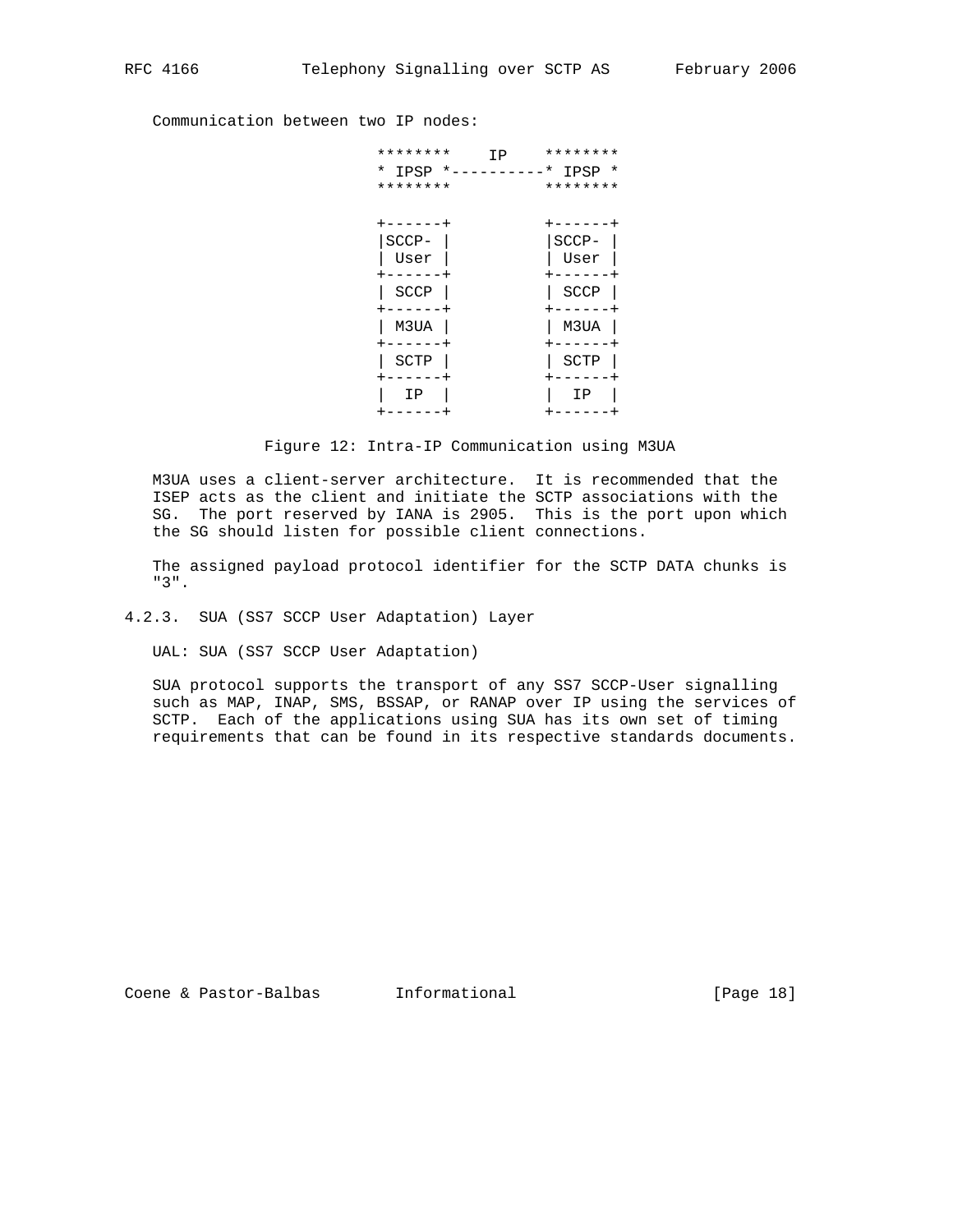Communication between two IP nodes:

| ********<br>ΙP<br>$*$ IPSP $*$<br>******** | ********<br>$*$ IPSP $*$<br>******** |
|--------------------------------------------|--------------------------------------|
| SCCP-<br>User                              | $SCCP-$<br>User                      |
| SCCP                                       | <b>SCCP</b>                          |
| M3UA                                       | M3UA                                 |
| SCTP                                       | SCTP                                 |
| ΙP                                         | ΙP                                   |

Figure 12: Intra-IP Communication using M3UA

 M3UA uses a client-server architecture. It is recommended that the ISEP acts as the client and initiate the SCTP associations with the SG. The port reserved by IANA is 2905. This is the port upon which the SG should listen for possible client connections.

 The assigned payload protocol identifier for the SCTP DATA chunks is "3".

### 4.2.3. SUA (SS7 SCCP User Adaptation) Layer

UAL: SUA (SS7 SCCP User Adaptation)

 SUA protocol supports the transport of any SS7 SCCP-User signalling such as MAP, INAP, SMS, BSSAP, or RANAP over IP using the services of SCTP. Each of the applications using SUA has its own set of timing requirements that can be found in its respective standards documents.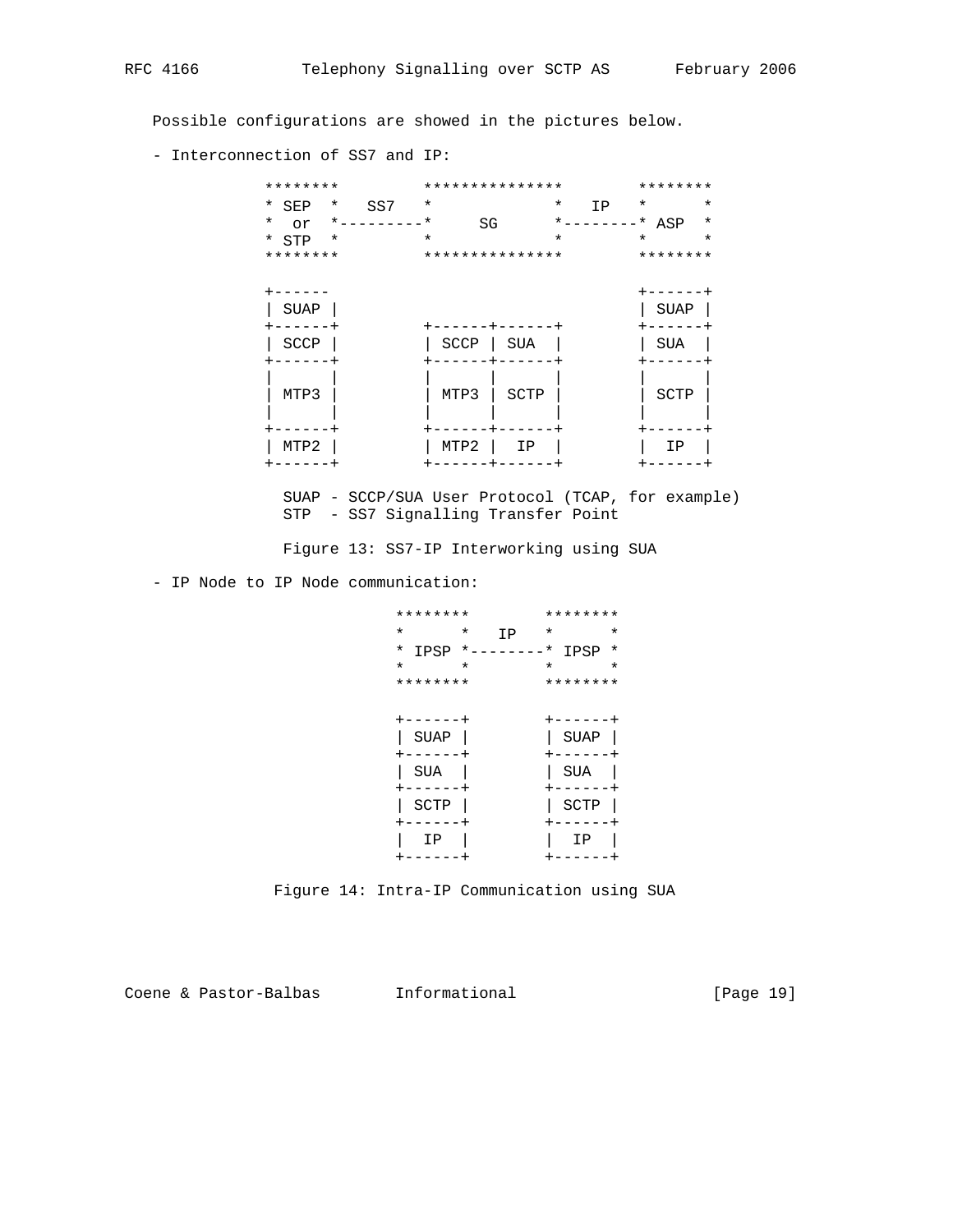Possible configurations are showed in the pictures below.

- Interconnection of SS7 and IP:

| ********           |         | *************** |         |              | ********    |         |
|--------------------|---------|-----------------|---------|--------------|-------------|---------|
| * SEP<br>$\ast$    | SS7     | $^\star$        |         | $\ast$<br>IP | $\star$     | $\star$ |
| $\ast$<br>or       | $*$ $-$ | $^\star$<br>SG  |         | $\star$ $-$  | * ASP       | $\ast$  |
| $*$ STP<br>$\star$ |         | $\star$         | $\star$ |              | $\star$     | $\star$ |
| ********           |         | *************** |         |              | ********    |         |
|                    |         |                 |         |              |             |         |
|                    |         |                 |         |              | ----        |         |
| <b>SUAP</b>        |         |                 |         |              | <b>SUAP</b> |         |
|                    |         |                 |         |              |             |         |
| SCCP               |         | SCCP            | SUA     |              | SUA         |         |
|                    |         |                 |         |              |             |         |
|                    |         |                 |         |              |             |         |
| MTP3               |         | MTP3            | SCTP    |              | SCTP        |         |
|                    |         |                 |         |              |             |         |
|                    |         |                 |         |              |             |         |
| MTP2               |         | MTP2            | ΙP      |              | ΙP          |         |
| - - - - - -        |         |                 |         |              |             |         |
|                    |         |                 |         |              |             |         |

 SUAP - SCCP/SUA User Protocol (TCAP, for example) STP - SS7 Signalling Transfer Point

Figure 13: SS7-IP Interworking using SUA

- IP Node to IP Node communication:

|          | ********    |            |    |          | ********    |         |
|----------|-------------|------------|----|----------|-------------|---------|
| $^\star$ |             | $^\star$   | IP | $^\star$ |             | $\star$ |
| $^\star$ | IPSP        | $*$ $   -$ |    | $^\star$ | IPSP        | $\star$ |
| $\star$  |             | $\star$    |    | $\star$  |             | $\star$ |
|          | ********    |            |    |          | ********    |         |
|          |             |            |    |          |             |         |
|          | - - - - -   |            |    |          | - - - - -   |         |
|          | <b>SUAP</b> |            |    |          | <b>SUAP</b> |         |
|          |             |            |    |          |             |         |
|          | SUA         |            |    |          | SUA         |         |
|          |             |            |    |          |             |         |
|          | SCTP        |            |    |          | SCTP        |         |
|          |             |            |    |          |             |         |
|          | ΙP          |            |    |          | ΙP          |         |
|          |             |            |    |          |             |         |

Figure 14: Intra-IP Communication using SUA

Coene & Pastor-Balbas Informational (Page 19)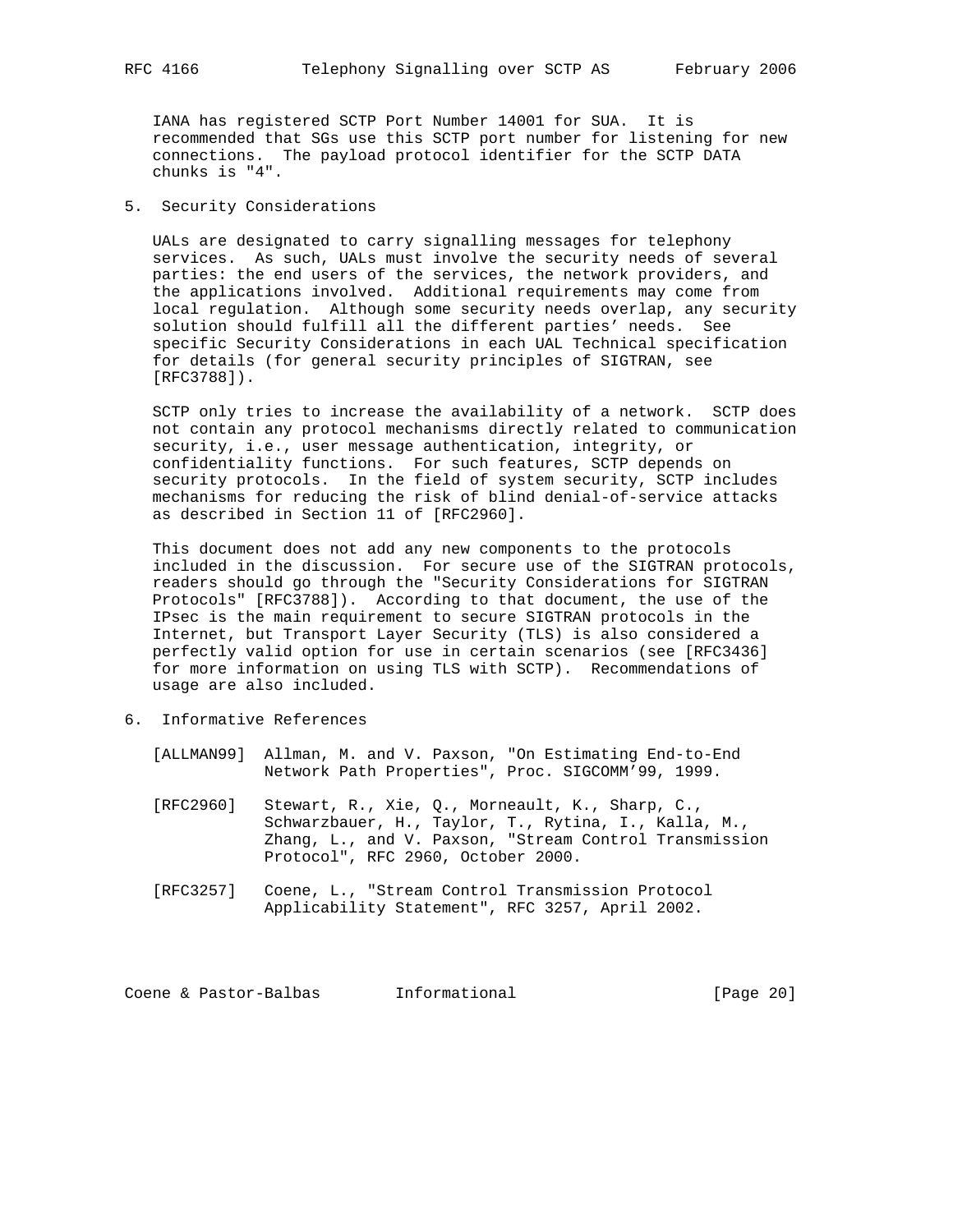IANA has registered SCTP Port Number 14001 for SUA. It is recommended that SGs use this SCTP port number for listening for new connections. The payload protocol identifier for the SCTP DATA chunks is "4".

5. Security Considerations

 UALs are designated to carry signalling messages for telephony services. As such, UALs must involve the security needs of several parties: the end users of the services, the network providers, and the applications involved. Additional requirements may come from local regulation. Although some security needs overlap, any security solution should fulfill all the different parties' needs. See specific Security Considerations in each UAL Technical specification for details (for general security principles of SIGTRAN, see [RFC3788]).

 SCTP only tries to increase the availability of a network. SCTP does not contain any protocol mechanisms directly related to communication security, i.e., user message authentication, integrity, or confidentiality functions. For such features, SCTP depends on security protocols. In the field of system security, SCTP includes mechanisms for reducing the risk of blind denial-of-service attacks as described in Section 11 of [RFC2960].

 This document does not add any new components to the protocols included in the discussion. For secure use of the SIGTRAN protocols, readers should go through the "Security Considerations for SIGTRAN Protocols" [RFC3788]). According to that document, the use of the IPsec is the main requirement to secure SIGTRAN protocols in the Internet, but Transport Layer Security (TLS) is also considered a perfectly valid option for use in certain scenarios (see [RFC3436] for more information on using TLS with SCTP). Recommendations of usage are also included.

- 6. Informative References
	- [ALLMAN99] Allman, M. and V. Paxson, "On Estimating End-to-End Network Path Properties", Proc. SIGCOMM'99, 1999.
	- [RFC2960] Stewart, R., Xie, Q., Morneault, K., Sharp, C., Schwarzbauer, H., Taylor, T., Rytina, I., Kalla, M., Zhang, L., and V. Paxson, "Stream Control Transmission Protocol", RFC 2960, October 2000.
	- [RFC3257] Coene, L., "Stream Control Transmission Protocol Applicability Statement", RFC 3257, April 2002.

Coene & Pastor-Balbas Informational [Page 20]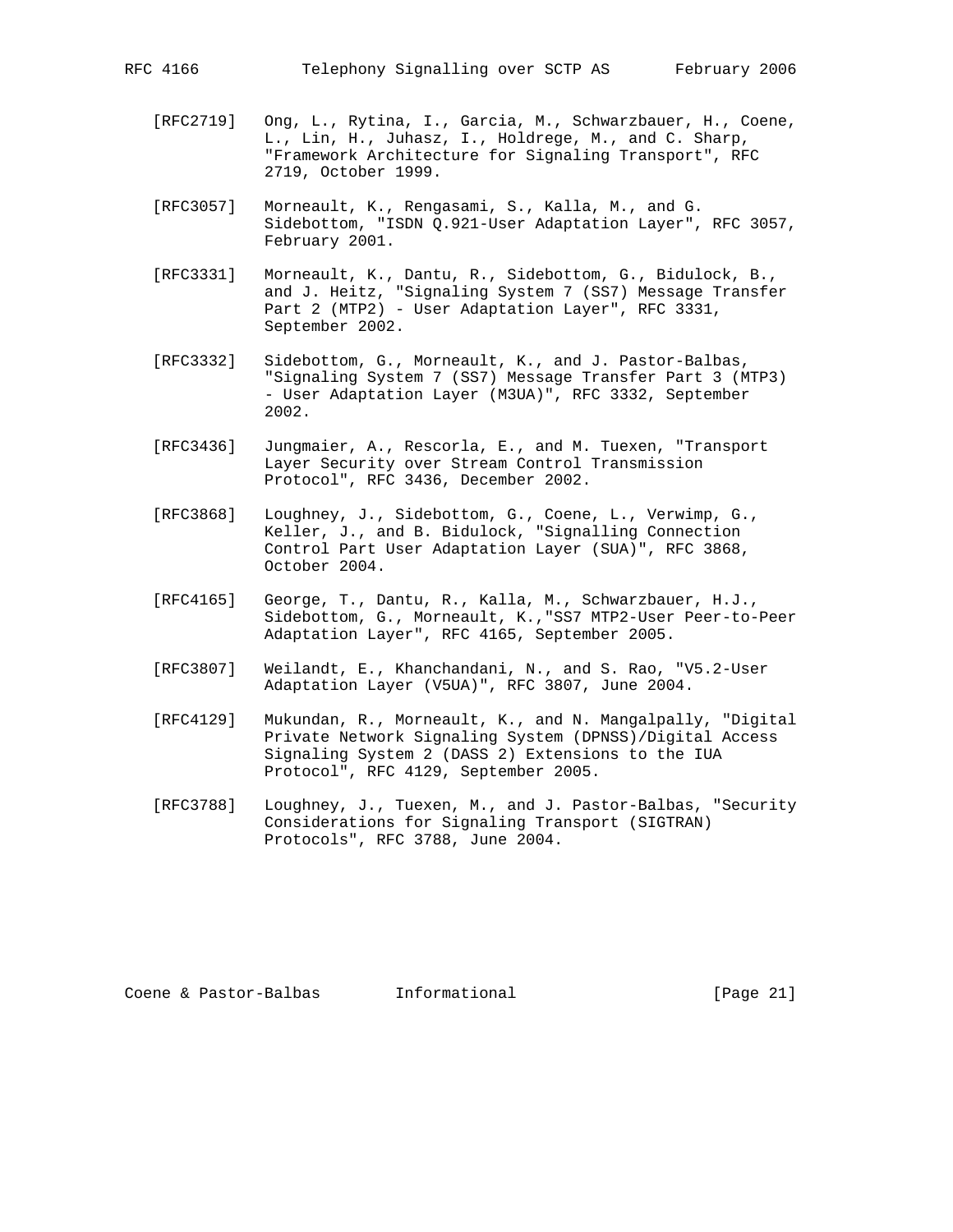- [RFC2719] Ong, L., Rytina, I., Garcia, M., Schwarzbauer, H., Coene, L., Lin, H., Juhasz, I., Holdrege, M., and C. Sharp, "Framework Architecture for Signaling Transport", RFC 2719, October 1999.
- [RFC3057] Morneault, K., Rengasami, S., Kalla, M., and G. Sidebottom, "ISDN Q.921-User Adaptation Layer", RFC 3057, February 2001.
- [RFC3331] Morneault, K., Dantu, R., Sidebottom, G., Bidulock, B., and J. Heitz, "Signaling System 7 (SS7) Message Transfer Part 2 (MTP2) - User Adaptation Layer", RFC 3331, September 2002.
- [RFC3332] Sidebottom, G., Morneault, K., and J. Pastor-Balbas, "Signaling System 7 (SS7) Message Transfer Part 3 (MTP3) - User Adaptation Layer (M3UA)", RFC 3332, September 2002.
- [RFC3436] Jungmaier, A., Rescorla, E., and M. Tuexen, "Transport Layer Security over Stream Control Transmission Protocol", RFC 3436, December 2002.
- [RFC3868] Loughney, J., Sidebottom, G., Coene, L., Verwimp, G., Keller, J., and B. Bidulock, "Signalling Connection Control Part User Adaptation Layer (SUA)", RFC 3868, October 2004.
- [RFC4165] George, T., Dantu, R., Kalla, M., Schwarzbauer, H.J., Sidebottom, G., Morneault, K.,"SS7 MTP2-User Peer-to-Peer Adaptation Layer", RFC 4165, September 2005.
- [RFC3807] Weilandt, E., Khanchandani, N., and S. Rao, "V5.2-User Adaptation Layer (V5UA)", RFC 3807, June 2004.
- [RFC4129] Mukundan, R., Morneault, K., and N. Mangalpally, "Digital Private Network Signaling System (DPNSS)/Digital Access Signaling System 2 (DASS 2) Extensions to the IUA Protocol", RFC 4129, September 2005.
- [RFC3788] Loughney, J., Tuexen, M., and J. Pastor-Balbas, "Security Considerations for Signaling Transport (SIGTRAN) Protocols", RFC 3788, June 2004.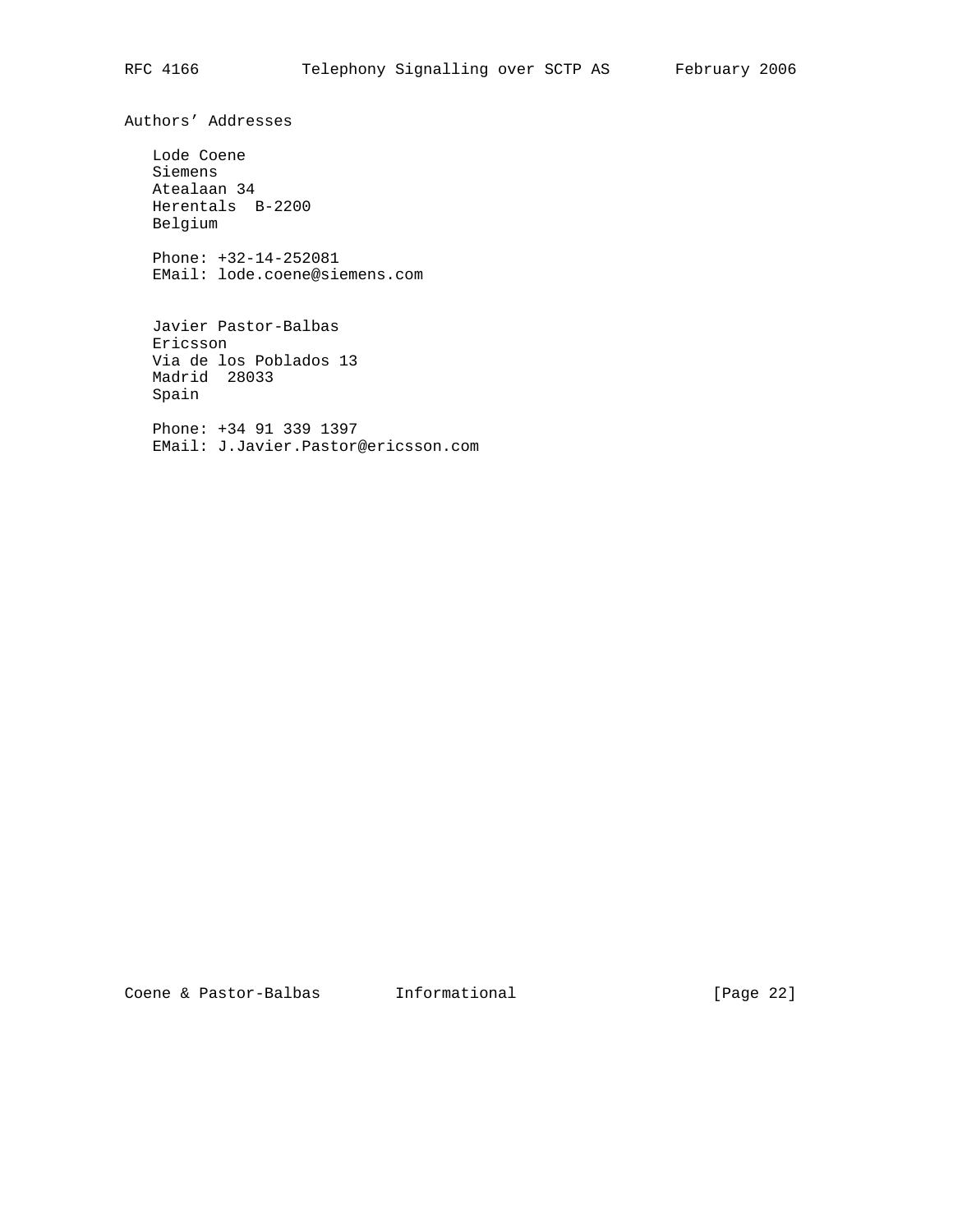Authors' Addresses

 Lode Coene Siemens Atealaan 34 Herentals B-2200 Belgium

 Phone: +32-14-252081 EMail: lode.coene@siemens.com

 Javier Pastor-Balbas Ericsson Via de los Poblados 13 Madrid 28033 Spain

 Phone: +34 91 339 1397 EMail: J.Javier.Pastor@ericsson.com